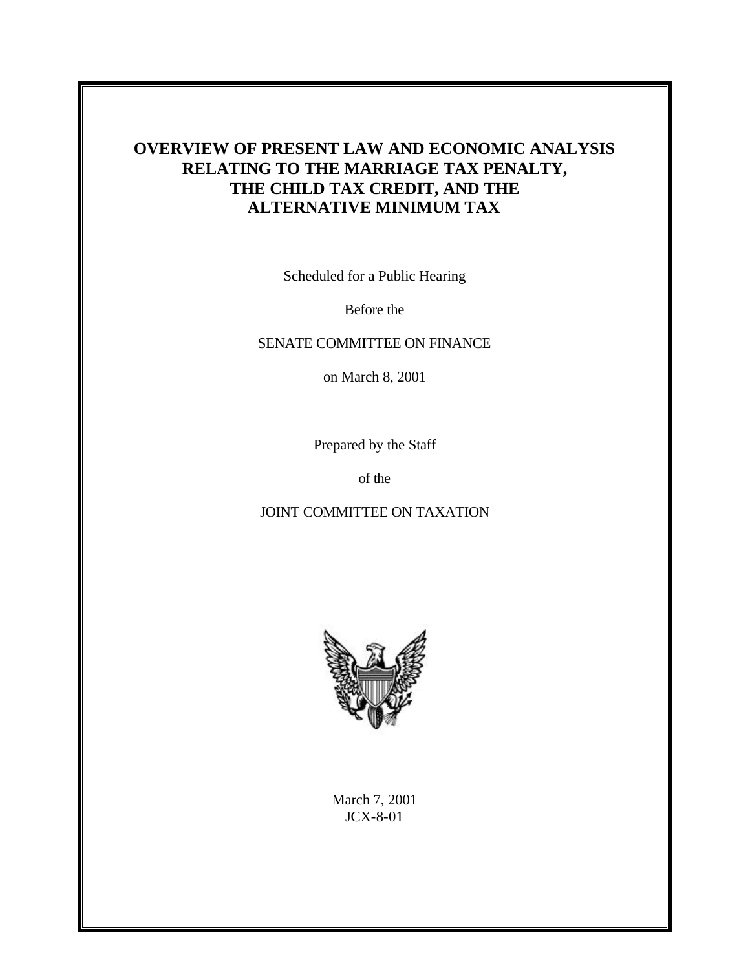# **OVERVIEW OF PRESENT LAW AND ECONOMIC ANALYSIS RELATING TO THE MARRIAGE TAX PENALTY, THE CHILD TAX CREDIT, AND THE ALTERNATIVE MINIMUM TAX**

Scheduled for a Public Hearing

Before the

SENATE COMMITTEE ON FINANCE

on March 8, 2001

Prepared by the Staff

of the

JOINT COMMITTEE ON TAXATION



March 7, 2001 JCX*-*8-01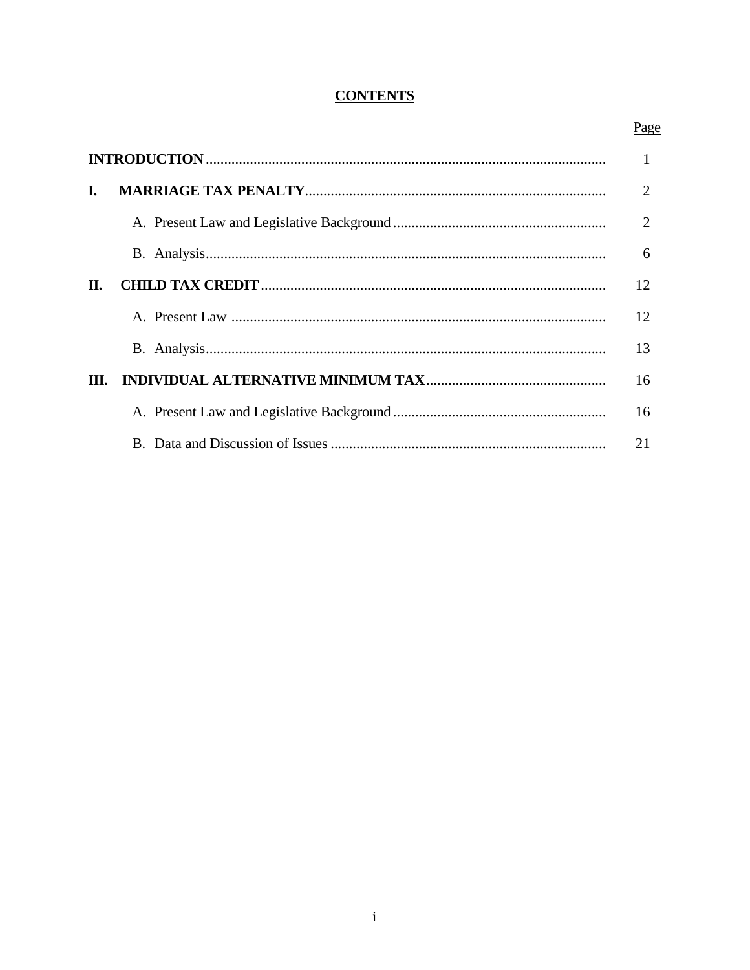## **CONTENTS**

| L    |  | $\overline{2}$ |
|------|--|----------------|
|      |  | $\overline{2}$ |
|      |  | 6              |
| П.   |  | 12             |
|      |  | 12             |
|      |  | 13             |
| III. |  | 16             |
|      |  | 16             |
|      |  | 21             |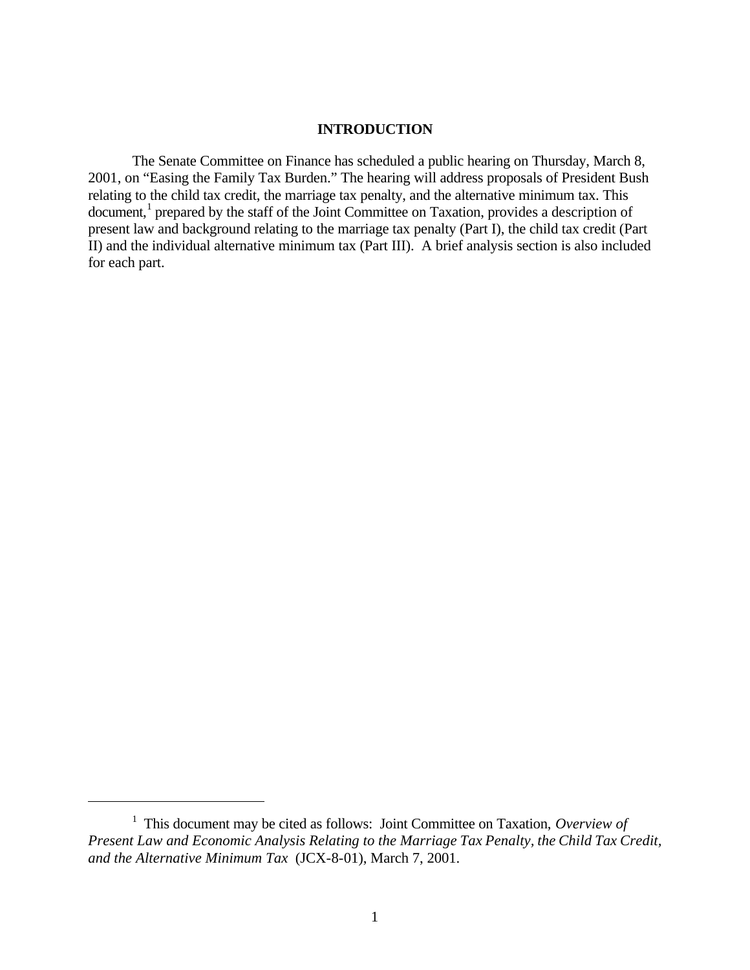## **INTRODUCTION**

The Senate Committee on Finance has scheduled a public hearing on Thursday, March 8, 2001, on "Easing the Family Tax Burden." The hearing will address proposals of President Bush relating to the child tax credit, the marriage tax penalty, and the alternative minimum tax. This document,<sup>1</sup> prepared by the staff of the Joint Committee on Taxation, provides a description of present law and background relating to the marriage tax penalty (Part I), the child tax credit (Part II) and the individual alternative minimum tax (Part III). A brief analysis section is also included for each part.

 $\overline{a}$ 

<sup>&</sup>lt;sup>1</sup> This document may be cited as follows: Joint Committee on Taxation, Overview of *Present Law and Economic Analysis Relating to the Marriage Tax Penalty, the Child Tax Credit, and the Alternative Minimum Tax* (JCX-8-01), March 7, 2001.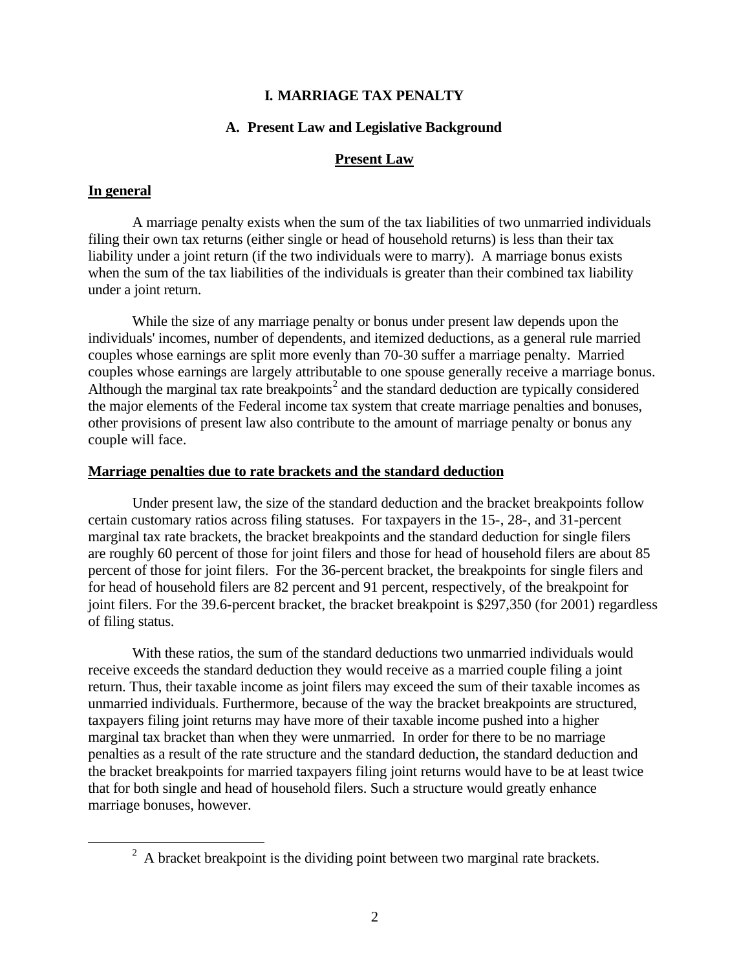## **I. MARRIAGE TAX PENALTY**

## **A. Present Law and Legislative Background**

### **Present Law**

### **In general**

 $\overline{a}$ 

A marriage penalty exists when the sum of the tax liabilities of two unmarried individuals filing their own tax returns (either single or head of household returns) is less than their tax liability under a joint return (if the two individuals were to marry). A marriage bonus exists when the sum of the tax liabilities of the individuals is greater than their combined tax liability under a joint return.

While the size of any marriage penalty or bonus under present law depends upon the individuals' incomes, number of dependents, and itemized deductions, as a general rule married couples whose earnings are split more evenly than 70-30 suffer a marriage penalty. Married couples whose earnings are largely attributable to one spouse generally receive a marriage bonus. Although the marginal tax rate breakpoints<sup>2</sup> and the standard deduction are typically considered the major elements of the Federal income tax system that create marriage penalties and bonuses, other provisions of present law also contribute to the amount of marriage penalty or bonus any couple will face.

### **Marriage penalties due to rate brackets and the standard deduction**

Under present law, the size of the standard deduction and the bracket breakpoints follow certain customary ratios across filing statuses. For taxpayers in the 15-, 28-, and 31-percent marginal tax rate brackets, the bracket breakpoints and the standard deduction for single filers are roughly 60 percent of those for joint filers and those for head of household filers are about 85 percent of those for joint filers. For the 36-percent bracket, the breakpoints for single filers and for head of household filers are 82 percent and 91 percent, respectively, of the breakpoint for joint filers. For the 39.6-percent bracket, the bracket breakpoint is \$297,350 (for 2001) regardless of filing status.

With these ratios, the sum of the standard deductions two unmarried individuals would receive exceeds the standard deduction they would receive as a married couple filing a joint return. Thus, their taxable income as joint filers may exceed the sum of their taxable incomes as unmarried individuals. Furthermore, because of the way the bracket breakpoints are structured, taxpayers filing joint returns may have more of their taxable income pushed into a higher marginal tax bracket than when they were unmarried. In order for there to be no marriage penalties as a result of the rate structure and the standard deduction, the standard deduction and the bracket breakpoints for married taxpayers filing joint returns would have to be at least twice that for both single and head of household filers. Such a structure would greatly enhance marriage bonuses, however.

 $2^2$  A bracket breakpoint is the dividing point between two marginal rate brackets.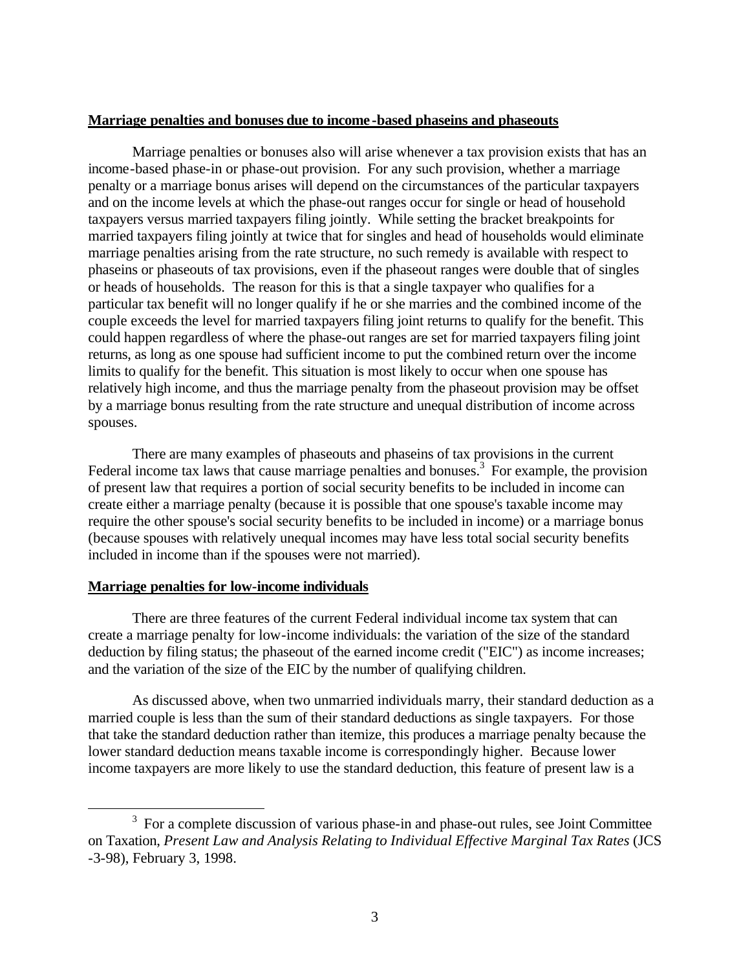### **Marriage penalties and bonuses due to income -based phaseins and phaseouts**

Marriage penalties or bonuses also will arise whenever a tax provision exists that has an income-based phase-in or phase-out provision. For any such provision, whether a marriage penalty or a marriage bonus arises will depend on the circumstances of the particular taxpayers and on the income levels at which the phase-out ranges occur for single or head of household taxpayers versus married taxpayers filing jointly. While setting the bracket breakpoints for married taxpayers filing jointly at twice that for singles and head of households would eliminate marriage penalties arising from the rate structure, no such remedy is available with respect to phaseins or phaseouts of tax provisions, even if the phaseout ranges were double that of singles or heads of households. The reason for this is that a single taxpayer who qualifies for a particular tax benefit will no longer qualify if he or she marries and the combined income of the couple exceeds the level for married taxpayers filing joint returns to qualify for the benefit. This could happen regardless of where the phase-out ranges are set for married taxpayers filing joint returns, as long as one spouse had sufficient income to put the combined return over the income limits to qualify for the benefit. This situation is most likely to occur when one spouse has relatively high income, and thus the marriage penalty from the phaseout provision may be offset by a marriage bonus resulting from the rate structure and unequal distribution of income across spouses.

There are many examples of phaseouts and phaseins of tax provisions in the current Federal income tax laws that cause marriage penalties and bonuses.<sup>3</sup> For example, the provision of present law that requires a portion of social security benefits to be included in income can create either a marriage penalty (because it is possible that one spouse's taxable income may require the other spouse's social security benefits to be included in income) or a marriage bonus (because spouses with relatively unequal incomes may have less total social security benefits included in income than if the spouses were not married).

### **Marriage penalties for low-income individuals**

 $\overline{a}$ 

There are three features of the current Federal individual income tax system that can create a marriage penalty for low-income individuals: the variation of the size of the standard deduction by filing status; the phaseout of the earned income credit ("EIC") as income increases; and the variation of the size of the EIC by the number of qualifying children.

As discussed above, when two unmarried individuals marry, their standard deduction as a married couple is less than the sum of their standard deductions as single taxpayers. For those that take the standard deduction rather than itemize, this produces a marriage penalty because the lower standard deduction means taxable income is correspondingly higher. Because lower income taxpayers are more likely to use the standard deduction, this feature of present law is a

 $3$  For a complete discussion of various phase-in and phase-out rules, see Joint Committee on Taxation, *Present Law and Analysis Relating to Individual Effective Marginal Tax Rates* (JCS -3-98), February 3, 1998.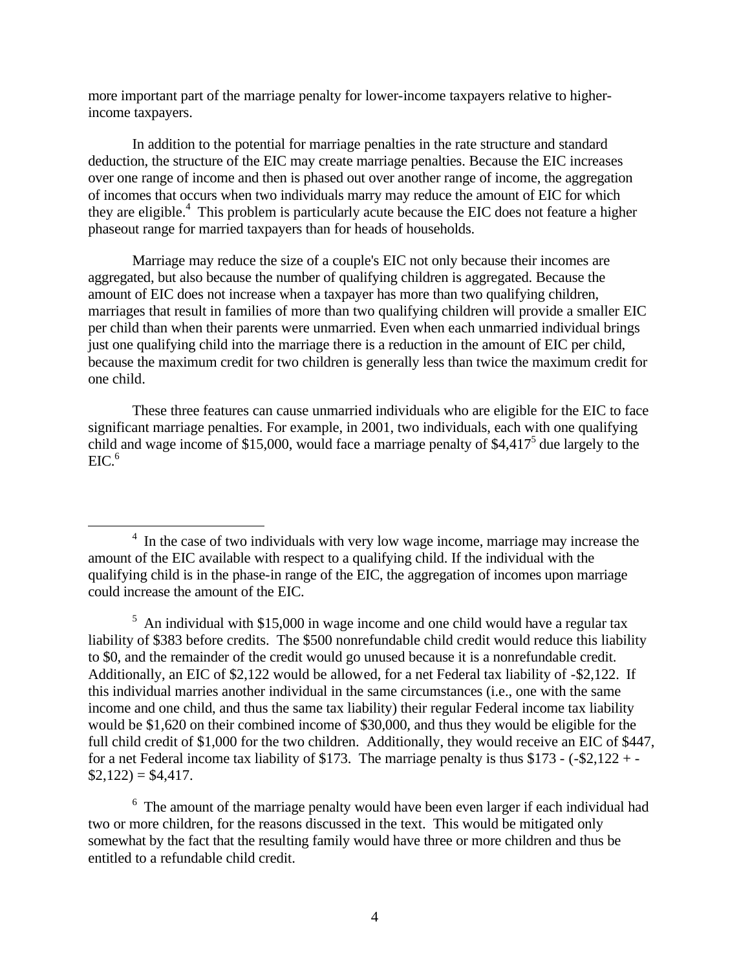more important part of the marriage penalty for lower-income taxpayers relative to higherincome taxpayers.

In addition to the potential for marriage penalties in the rate structure and standard deduction, the structure of the EIC may create marriage penalties. Because the EIC increases over one range of income and then is phased out over another range of income, the aggregation of incomes that occurs when two individuals marry may reduce the amount of EIC for which they are eligible.<sup>4</sup> This problem is particularly acute because the EIC does not feature a higher phaseout range for married taxpayers than for heads of households.

Marriage may reduce the size of a couple's EIC not only because their incomes are aggregated, but also because the number of qualifying children is aggregated. Because the amount of EIC does not increase when a taxpayer has more than two qualifying children, marriages that result in families of more than two qualifying children will provide a smaller EIC per child than when their parents were unmarried. Even when each unmarried individual brings just one qualifying child into the marriage there is a reduction in the amount of EIC per child, because the maximum credit for two children is generally less than twice the maximum credit for one child.

These three features can cause unmarried individuals who are eligible for the EIC to face significant marriage penalties. For example, in 2001, two individuals, each with one qualifying child and wage income of \$15,000, would face a marriage penalty of \$4,417<sup>5</sup> due largely to the  $EIC.<sup>6</sup>$ 

<sup>6</sup> The amount of the marriage penalty would have been even larger if each individual had two or more children, for the reasons discussed in the text. This would be mitigated only somewhat by the fact that the resulting family would have three or more children and thus be entitled to a refundable child credit.

 $\overline{a}$ <sup>4</sup> In the case of two individuals with very low wage income, marriage may increase the amount of the EIC available with respect to a qualifying child. If the individual with the qualifying child is in the phase-in range of the EIC, the aggregation of incomes upon marriage could increase the amount of the EIC.

 $5$  An individual with \$15,000 in wage income and one child would have a regular tax liability of \$383 before credits. The \$500 nonrefundable child credit would reduce this liability to \$0, and the remainder of the credit would go unused because it is a nonrefundable credit. Additionally, an EIC of \$2,122 would be allowed, for a net Federal tax liability of -\$2,122. If this individual marries another individual in the same circumstances (i.e., one with the same income and one child, and thus the same tax liability) their regular Federal income tax liability would be \$1,620 on their combined income of \$30,000, and thus they would be eligible for the full child credit of \$1,000 for the two children. Additionally, they would receive an EIC of \$447, for a net Federal income tax liability of \$173. The marriage penalty is thus  $$173 - (-\$2,122 + $2,122$ ) = \$4,417.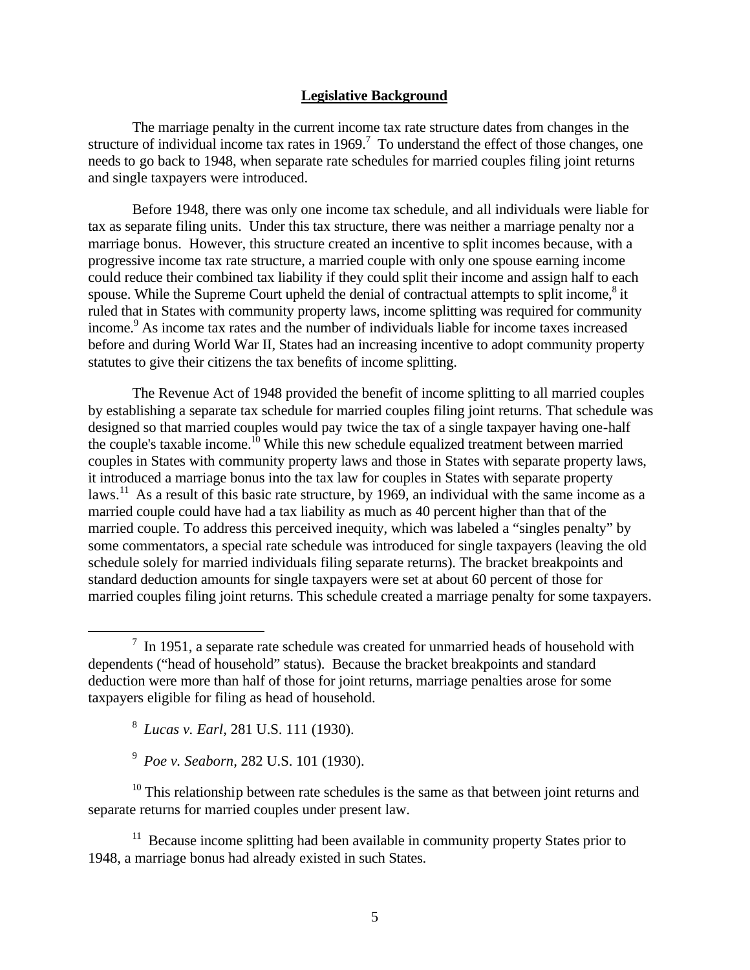### **Legislative Background**

The marriage penalty in the current income tax rate structure dates from changes in the structure of individual income tax rates in 1969.<sup>7</sup> To understand the effect of those changes, one needs to go back to 1948, when separate rate schedules for married couples filing joint returns and single taxpayers were introduced.

Before 1948, there was only one income tax schedule, and all individuals were liable for tax as separate filing units. Under this tax structure, there was neither a marriage penalty nor a marriage bonus. However, this structure created an incentive to split incomes because, with a progressive income tax rate structure, a married couple with only one spouse earning income could reduce their combined tax liability if they could split their income and assign half to each spouse. While the Supreme Court upheld the denial of contractual attempts to split income,<sup>8</sup> it ruled that in States with community property laws, income splitting was required for community income.<sup>9</sup> As income tax rates and the number of individuals liable for income taxes increased before and during World War II, States had an increasing incentive to adopt community property statutes to give their citizens the tax benefits of income splitting.

The Revenue Act of 1948 provided the benefit of income splitting to all married couples by establishing a separate tax schedule for married couples filing joint returns. That schedule was designed so that married couples would pay twice the tax of a single taxpayer having one-half the couple's taxable income.<sup>10</sup> While this new schedule equalized treatment between married couples in States with community property laws and those in States with separate property laws, it introduced a marriage bonus into the tax law for couples in States with separate property laws.<sup>11</sup> As a result of this basic rate structure, by 1969, an individual with the same income as a married couple could have had a tax liability as much as 40 percent higher than that of the married couple. To address this perceived inequity, which was labeled a "singles penalty" by some commentators, a special rate schedule was introduced for single taxpayers (leaving the old schedule solely for married individuals filing separate returns). The bracket breakpoints and standard deduction amounts for single taxpayers were set at about 60 percent of those for married couples filing joint returns. This schedule created a marriage penalty for some taxpayers.

8 *Lucas v. Earl,* 281 U.S. 111 (1930).

 $\overline{a}$ 

9 *Poe v. Seaborn,* 282 U.S. 101 (1930).

 $10$  This relationship between rate schedules is the same as that between joint returns and separate returns for married couples under present law.

 $11$  Because income splitting had been available in community property States prior to 1948, a marriage bonus had already existed in such States.

 $7 \text{ In } 1951$ , a separate rate schedule was created for unmarried heads of household with dependents ("head of household" status). Because the bracket breakpoints and standard deduction were more than half of those for joint returns, marriage penalties arose for some taxpayers eligible for filing as head of household.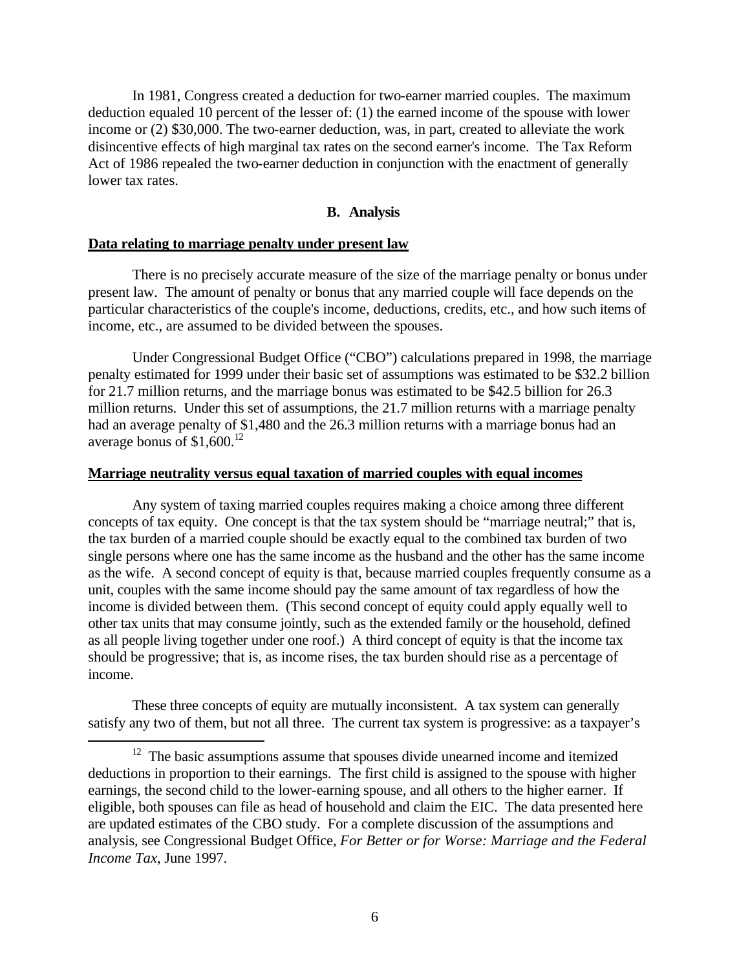In 1981, Congress created a deduction for two-earner married couples. The maximum deduction equaled 10 percent of the lesser of: (1) the earned income of the spouse with lower income or (2) \$30,000. The two-earner deduction, was, in part, created to alleviate the work disincentive effects of high marginal tax rates on the second earner's income. The Tax Reform Act of 1986 repealed the two-earner deduction in conjunction with the enactment of generally lower tax rates.

### **B. Analysis**

### **Data relating to marriage penalty under present law**

 $\overline{a}$ 

There is no precisely accurate measure of the size of the marriage penalty or bonus under present law. The amount of penalty or bonus that any married couple will face depends on the particular characteristics of the couple's income, deductions, credits, etc., and how such items of income, etc., are assumed to be divided between the spouses.

Under Congressional Budget Office ("CBO") calculations prepared in 1998, the marriage penalty estimated for 1999 under their basic set of assumptions was estimated to be \$32.2 billion for 21.7 million returns, and the marriage bonus was estimated to be \$42.5 billion for 26.3 million returns. Under this set of assumptions, the 21.7 million returns with a marriage penalty had an average penalty of \$1,480 and the 26.3 million returns with a marriage bonus had an average bonus of  $$1,600$ <sup>12</sup>

### **Marriage neutrality versus equal taxation of married couples with equal incomes**

Any system of taxing married couples requires making a choice among three different concepts of tax equity. One concept is that the tax system should be "marriage neutral;" that is, the tax burden of a married couple should be exactly equal to the combined tax burden of two single persons where one has the same income as the husband and the other has the same income as the wife. A second concept of equity is that, because married couples frequently consume as a unit, couples with the same income should pay the same amount of tax regardless of how the income is divided between them. (This second concept of equity could apply equally well to other tax units that may consume jointly, such as the extended family or the household, defined as all people living together under one roof.) A third concept of equity is that the income tax should be progressive; that is, as income rises, the tax burden should rise as a percentage of income.

These three concepts of equity are mutually inconsistent. A tax system can generally satisfy any two of them, but not all three. The current tax system is progressive: as a taxpayer's

 $12$  The basic assumptions assume that spouses divide unearned income and itemized deductions in proportion to their earnings. The first child is assigned to the spouse with higher earnings, the second child to the lower-earning spouse, and all others to the higher earner. If eligible, both spouses can file as head of household and claim the EIC. The data presented here are updated estimates of the CBO study. For a complete discussion of the assumptions and analysis, see Congressional Budget Office, *For Better or for Worse: Marriage and the Federal Income Tax*, June 1997.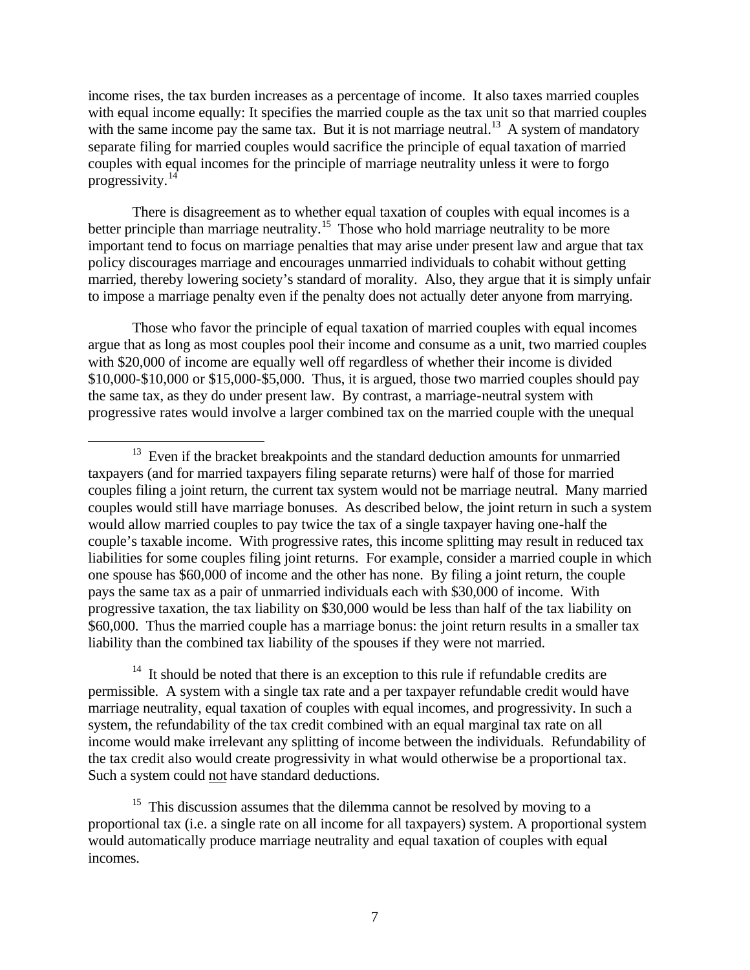income rises, the tax burden increases as a percentage of income. It also taxes married couples with equal income equally: It specifies the married couple as the tax unit so that married couples with the same income pay the same tax. But it is not marriage neutral.<sup>13</sup> A system of mandatory separate filing for married couples would sacrifice the principle of equal taxation of married couples with equal incomes for the principle of marriage neutrality unless it were to forgo progressivity. $^{14}$ 

There is disagreement as to whether equal taxation of couples with equal incomes is a better principle than marriage neutrality.<sup>15</sup> Those who hold marriage neutrality to be more important tend to focus on marriage penalties that may arise under present law and argue that tax policy discourages marriage and encourages unmarried individuals to cohabit without getting married, thereby lowering society's standard of morality. Also, they argue that it is simply unfair to impose a marriage penalty even if the penalty does not actually deter anyone from marrying.

Those who favor the principle of equal taxation of married couples with equal incomes argue that as long as most couples pool their income and consume as a unit, two married couples with \$20,000 of income are equally well off regardless of whether their income is divided \$10,000-\$10,000 or \$15,000-\$5,000. Thus, it is argued, those two married couples should pay the same tax, as they do under present law. By contrast, a marriage-neutral system with progressive rates would involve a larger combined tax on the married couple with the unequal

1

 $14$  It should be noted that there is an exception to this rule if refundable credits are permissible. A system with a single tax rate and a per taxpayer refundable credit would have marriage neutrality, equal taxation of couples with equal incomes, and progressivity. In such a system, the refundability of the tax credit combined with an equal marginal tax rate on all income would make irrelevant any splitting of income between the individuals. Refundability of the tax credit also would create progressivity in what would otherwise be a proportional tax. Such a system could not have standard deductions.

 $15$  This discussion assumes that the dilemma cannot be resolved by moving to a proportional tax (i.e. a single rate on all income for all taxpayers) system. A proportional system would automatically produce marriage neutrality and equal taxation of couples with equal incomes.

<sup>&</sup>lt;sup>13</sup> Even if the bracket breakpoints and the standard deduction amounts for unmarried taxpayers (and for married taxpayers filing separate returns) were half of those for married couples filing a joint return, the current tax system would not be marriage neutral. Many married couples would still have marriage bonuses. As described below, the joint return in such a system would allow married couples to pay twice the tax of a single taxpayer having one-half the couple's taxable income. With progressive rates, this income splitting may result in reduced tax liabilities for some couples filing joint returns. For example, consider a married couple in which one spouse has \$60,000 of income and the other has none. By filing a joint return, the couple pays the same tax as a pair of unmarried individuals each with \$30,000 of income. With progressive taxation, the tax liability on \$30,000 would be less than half of the tax liability on \$60,000. Thus the married couple has a marriage bonus: the joint return results in a smaller tax liability than the combined tax liability of the spouses if they were not married.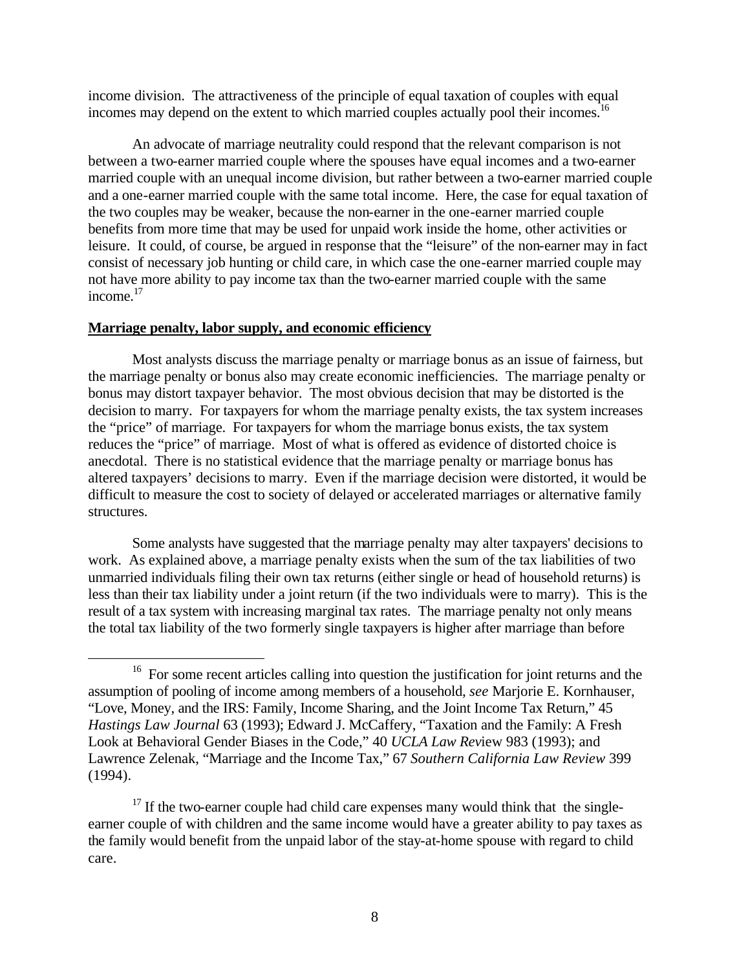income division. The attractiveness of the principle of equal taxation of couples with equal incomes may depend on the extent to which married couples actually pool their incomes.<sup>16</sup>

An advocate of marriage neutrality could respond that the relevant comparison is not between a two-earner married couple where the spouses have equal incomes and a two-earner married couple with an unequal income division, but rather between a two-earner married couple and a one-earner married couple with the same total income. Here, the case for equal taxation of the two couples may be weaker, because the non-earner in the one-earner married couple benefits from more time that may be used for unpaid work inside the home, other activities or leisure. It could, of course, be argued in response that the "leisure" of the non-earner may in fact consist of necessary job hunting or child care, in which case the one-earner married couple may not have more ability to pay income tax than the two-earner married couple with the same income.<sup>17</sup>

## **Marriage penalty, labor supply, and economic efficiency**

 $\overline{a}$ 

Most analysts discuss the marriage penalty or marriage bonus as an issue of fairness, but the marriage penalty or bonus also may create economic inefficiencies. The marriage penalty or bonus may distort taxpayer behavior. The most obvious decision that may be distorted is the decision to marry. For taxpayers for whom the marriage penalty exists, the tax system increases the "price" of marriage. For taxpayers for whom the marriage bonus exists, the tax system reduces the "price" of marriage. Most of what is offered as evidence of distorted choice is anecdotal. There is no statistical evidence that the marriage penalty or marriage bonus has altered taxpayers' decisions to marry. Even if the marriage decision were distorted, it would be difficult to measure the cost to society of delayed or accelerated marriages or alternative family structures.

Some analysts have suggested that the marriage penalty may alter taxpayers' decisions to work. As explained above, a marriage penalty exists when the sum of the tax liabilities of two unmarried individuals filing their own tax returns (either single or head of household returns) is less than their tax liability under a joint return (if the two individuals were to marry). This is the result of a tax system with increasing marginal tax rates. The marriage penalty not only means the total tax liability of the two formerly single taxpayers is higher after marriage than before

<sup>&</sup>lt;sup>16</sup> For some recent articles calling into question the justification for joint returns and the assumption of pooling of income among members of a household, *see* Marjorie E. Kornhauser, "Love, Money, and the IRS: Family, Income Sharing, and the Joint Income Tax Return," 45 *Hastings Law Journal* 63 (1993); Edward J. McCaffery, "Taxation and the Family: A Fresh Look at Behavioral Gender Biases in the Code," 40 *UCLA Law Rev*iew 983 (1993); and Lawrence Zelenak, "Marriage and the Income Tax," 67 *Southern California Law Review* 399 (1994).

 $17$  If the two-earner couple had child care expenses many would think that the singleearner couple of with children and the same income would have a greater ability to pay taxes as the family would benefit from the unpaid labor of the stay-at-home spouse with regard to child care.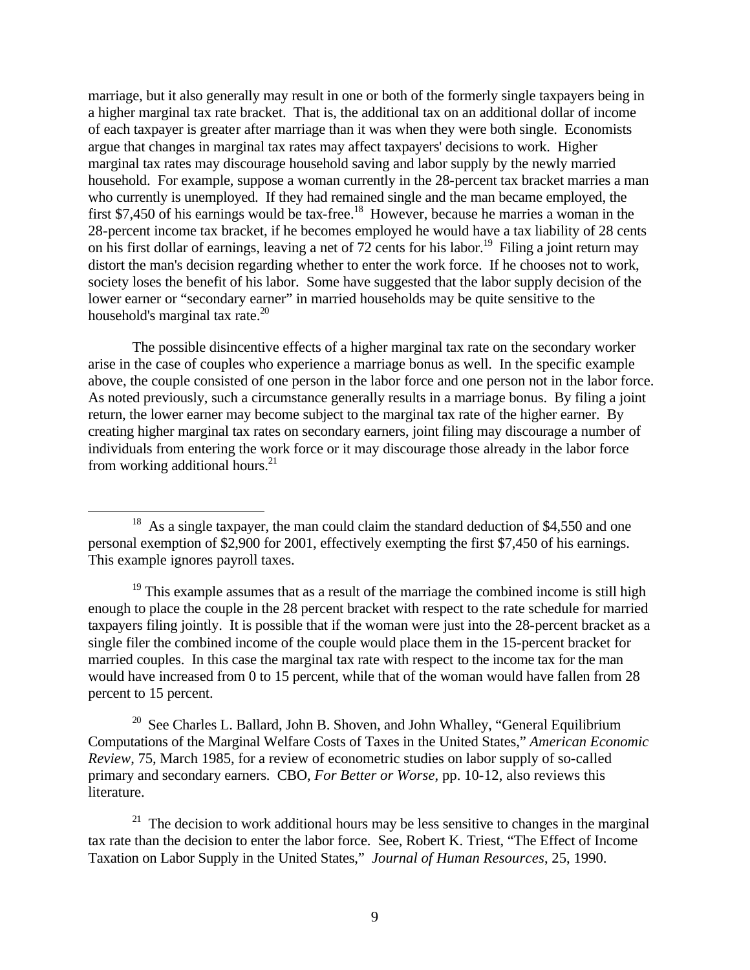marriage, but it also generally may result in one or both of the formerly single taxpayers being in a higher marginal tax rate bracket. That is, the additional tax on an additional dollar of income of each taxpayer is greater after marriage than it was when they were both single. Economists argue that changes in marginal tax rates may affect taxpayers' decisions to work. Higher marginal tax rates may discourage household saving and labor supply by the newly married household. For example, suppose a woman currently in the 28-percent tax bracket marries a man who currently is unemployed. If they had remained single and the man became employed, the first \$7,450 of his earnings would be tax-free.<sup>18</sup> However, because he marries a woman in the 28-percent income tax bracket, if he becomes employed he would have a tax liability of 28 cents on his first dollar of earnings, leaving a net of 72 cents for his labor.<sup>19</sup> Filing a joint return may distort the man's decision regarding whether to enter the work force. If he chooses not to work, society loses the benefit of his labor. Some have suggested that the labor supply decision of the lower earner or "secondary earner" in married households may be quite sensitive to the household's marginal tax rate. $^{20}$ 

The possible disincentive effects of a higher marginal tax rate on the secondary worker arise in the case of couples who experience a marriage bonus as well. In the specific example above, the couple consisted of one person in the labor force and one person not in the labor force. As noted previously, such a circumstance generally results in a marriage bonus. By filing a joint return, the lower earner may become subject to the marginal tax rate of the higher earner. By creating higher marginal tax rates on secondary earners, joint filing may discourage a number of individuals from entering the work force or it may discourage those already in the labor force from working additional hours.<sup>21</sup>

 $\overline{a}$ 

 $19$  This example assumes that as a result of the marriage the combined income is still high enough to place the couple in the 28 percent bracket with respect to the rate schedule for married taxpayers filing jointly. It is possible that if the woman were just into the 28-percent bracket as a single filer the combined income of the couple would place them in the 15-percent bracket for married couples. In this case the marginal tax rate with respect to the income tax for the man would have increased from 0 to 15 percent, while that of the woman would have fallen from 28 percent to 15 percent.

 $20$  See Charles L. Ballard, John B. Shoven, and John Whalley, "General Equilibrium Computations of the Marginal Welfare Costs of Taxes in the United States," *American Economic Review*, 75, March 1985, for a review of econometric studies on labor supply of so-called primary and secondary earners. CBO, *For Better or Worse*, pp. 10-12, also reviews this literature.

<sup>21</sup> The decision to work additional hours may be less sensitive to changes in the marginal tax rate than the decision to enter the labor force. See, Robert K. Triest, "The Effect of Income Taxation on Labor Supply in the United States," *Journal of Human Resources*, 25, 1990.

<sup>&</sup>lt;sup>18</sup> As a single taxpayer, the man could claim the standard deduction of \$4,550 and one personal exemption of \$2,900 for 2001, effectively exempting the first \$7,450 of his earnings. This example ignores payroll taxes.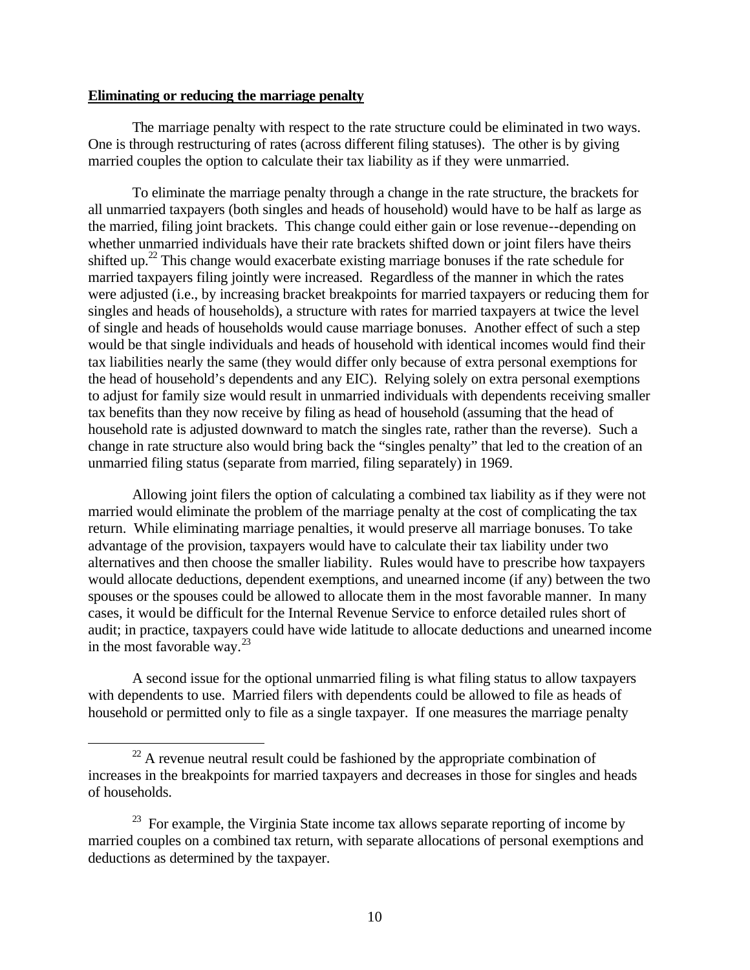### **Eliminating or reducing the marriage penalty**

 $\overline{a}$ 

The marriage penalty with respect to the rate structure could be eliminated in two ways. One is through restructuring of rates (across different filing statuses). The other is by giving married couples the option to calculate their tax liability as if they were unmarried.

To eliminate the marriage penalty through a change in the rate structure, the brackets for all unmarried taxpayers (both singles and heads of household) would have to be half as large as the married, filing joint brackets. This change could either gain or lose revenue--depending on whether unmarried individuals have their rate brackets shifted down or joint filers have theirs shifted up.<sup>22</sup> This change would exacerbate existing marriage bonuses if the rate schedule for married taxpayers filing jointly were increased. Regardless of the manner in which the rates were adjusted (i.e., by increasing bracket breakpoints for married taxpayers or reducing them for singles and heads of households), a structure with rates for married taxpayers at twice the level of single and heads of households would cause marriage bonuses. Another effect of such a step would be that single individuals and heads of household with identical incomes would find their tax liabilities nearly the same (they would differ only because of extra personal exemptions for the head of household's dependents and any EIC). Relying solely on extra personal exemptions to adjust for family size would result in unmarried individuals with dependents receiving smaller tax benefits than they now receive by filing as head of household (assuming that the head of household rate is adjusted downward to match the singles rate, rather than the reverse). Such a change in rate structure also would bring back the "singles penalty" that led to the creation of an unmarried filing status (separate from married, filing separately) in 1969.

Allowing joint filers the option of calculating a combined tax liability as if they were not married would eliminate the problem of the marriage penalty at the cost of complicating the tax return. While eliminating marriage penalties, it would preserve all marriage bonuses. To take advantage of the provision, taxpayers would have to calculate their tax liability under two alternatives and then choose the smaller liability. Rules would have to prescribe how taxpayers would allocate deductions, dependent exemptions, and unearned income (if any) between the two spouses or the spouses could be allowed to allocate them in the most favorable manner. In many cases, it would be difficult for the Internal Revenue Service to enforce detailed rules short of audit; in practice, taxpayers could have wide latitude to allocate deductions and unearned income in the most favorable way. $^{23}$ 

A second issue for the optional unmarried filing is what filing status to allow taxpayers with dependents to use. Married filers with dependents could be allowed to file as heads of household or permitted only to file as a single taxpayer. If one measures the marriage penalty

 $^{22}$  A revenue neutral result could be fashioned by the appropriate combination of increases in the breakpoints for married taxpayers and decreases in those for singles and heads of households.

<sup>&</sup>lt;sup>23</sup> For example, the Virginia State income tax allows separate reporting of income by married couples on a combined tax return, with separate allocations of personal exemptions and deductions as determined by the taxpayer.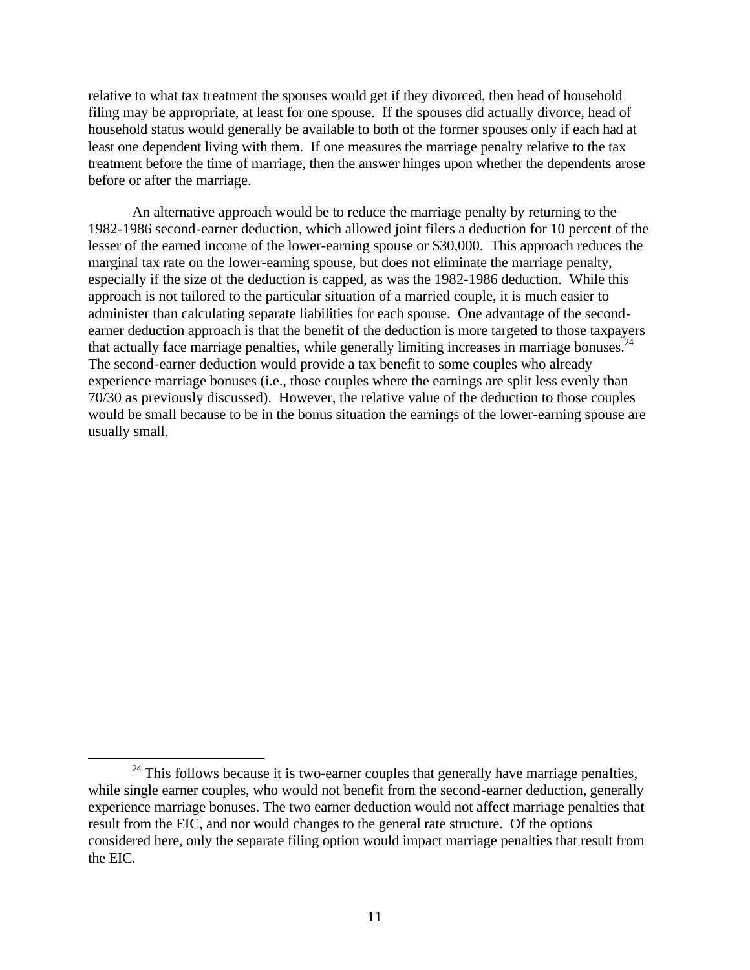relative to what tax treatment the spouses would get if they divorced, then head of household filing may be appropriate, at least for one spouse. If the spouses did actually divorce, head of household status would generally be available to both of the former spouses only if each had at least one dependent living with them. If one measures the marriage penalty relative to the tax treatment before the time of marriage, then the answer hinges upon whether the dependents arose before or after the marriage.

An alternative approach would be to reduce the marriage penalty by returning to the 1982-1986 second-earner deduction, which allowed joint filers a deduction for 10 percent of the lesser of the earned income of the lower-earning spouse or \$30,000. This approach reduces the marginal tax rate on the lower-earning spouse, but does not eliminate the marriage penalty, especially if the size of the deduction is capped, as was the 1982-1986 deduction. While this approach is not tailored to the particular situation of a married couple, it is much easier to administer than calculating separate liabilities for each spouse. One advantage of the secondearner deduction approach is that the benefit of the deduction is more targeted to those taxpayers that actually face marriage penalties, while generally limiting increases in marriage bonuses.<sup>24</sup> The second-earner deduction would provide a tax benefit to some couples who already experience marriage bonuses (i.e., those couples where the earnings are split less evenly than 70/30 as previously discussed). However, the relative value of the deduction to those couples would be small because to be in the bonus situation the earnings of the lower-earning spouse are usually small.

 $\overline{a}$ 

 $24$  This follows because it is two-earner couples that generally have marriage penalties, while single earner couples, who would not benefit from the second-earner deduction, generally experience marriage bonuses. The two earner deduction would not affect marriage penalties that result from the EIC, and nor would changes to the general rate structure. Of the options considered here, only the separate filing option would impact marriage penalties that result from the EIC.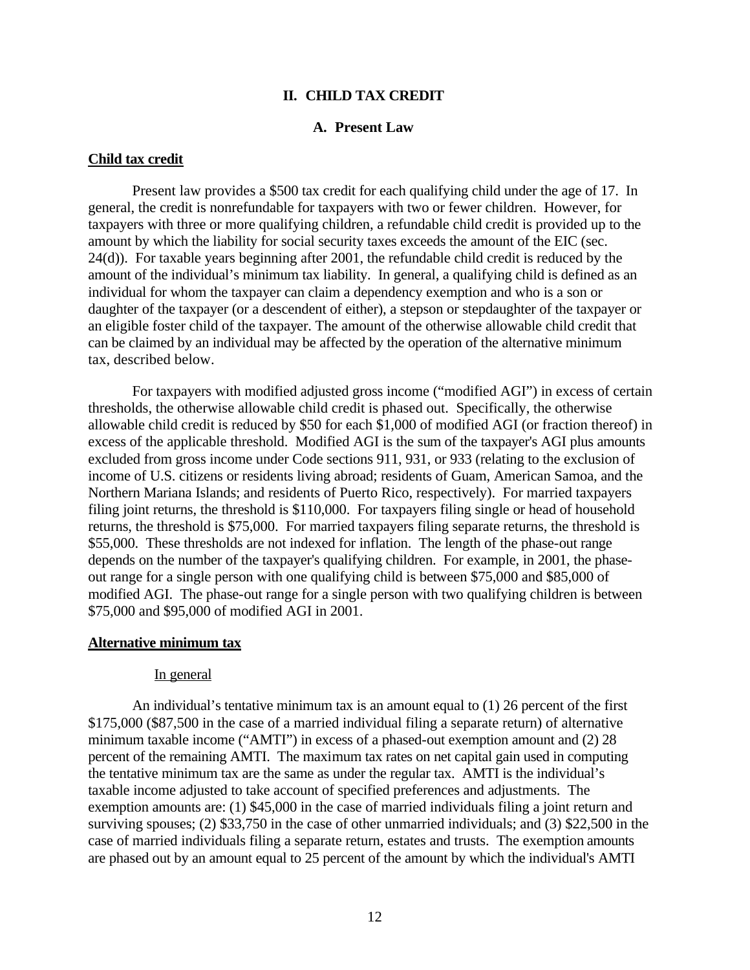### **II. CHILD TAX CREDIT**

### **A. Present Law**

### **Child tax credit**

Present law provides a \$500 tax credit for each qualifying child under the age of 17. In general, the credit is nonrefundable for taxpayers with two or fewer children. However, for taxpayers with three or more qualifying children, a refundable child credit is provided up to the amount by which the liability for social security taxes exceeds the amount of the EIC (sec. 24(d)). For taxable years beginning after 2001, the refundable child credit is reduced by the amount of the individual's minimum tax liability. In general, a qualifying child is defined as an individual for whom the taxpayer can claim a dependency exemption and who is a son or daughter of the taxpayer (or a descendent of either), a stepson or stepdaughter of the taxpayer or an eligible foster child of the taxpayer. The amount of the otherwise allowable child credit that can be claimed by an individual may be affected by the operation of the alternative minimum tax, described below.

For taxpayers with modified adjusted gross income ("modified AGI") in excess of certain thresholds, the otherwise allowable child credit is phased out. Specifically, the otherwise allowable child credit is reduced by \$50 for each \$1,000 of modified AGI (or fraction thereof) in excess of the applicable threshold. Modified AGI is the sum of the taxpayer's AGI plus amounts excluded from gross income under Code sections 911, 931, or 933 (relating to the exclusion of income of U.S. citizens or residents living abroad; residents of Guam, American Samoa, and the Northern Mariana Islands; and residents of Puerto Rico, respectively). For married taxpayers filing joint returns, the threshold is \$110,000. For taxpayers filing single or head of household returns, the threshold is \$75,000. For married taxpayers filing separate returns, the threshold is \$55,000. These thresholds are not indexed for inflation. The length of the phase-out range depends on the number of the taxpayer's qualifying children. For example, in 2001, the phaseout range for a single person with one qualifying child is between \$75,000 and \$85,000 of modified AGI. The phase-out range for a single person with two qualifying children is between \$75,000 and \$95,000 of modified AGI in 2001.

## **Alternative minimum tax**

### In general

An individual's tentative minimum tax is an amount equal to (1) 26 percent of the first \$175,000 (\$87,500 in the case of a married individual filing a separate return) of alternative minimum taxable income ("AMTI") in excess of a phased-out exemption amount and (2) 28 percent of the remaining AMTI. The maximum tax rates on net capital gain used in computing the tentative minimum tax are the same as under the regular tax. AMTI is the individual's taxable income adjusted to take account of specified preferences and adjustments. The exemption amounts are: (1) \$45,000 in the case of married individuals filing a joint return and surviving spouses; (2) \$33,750 in the case of other unmarried individuals; and (3) \$22,500 in the case of married individuals filing a separate return, estates and trusts. The exemption amounts are phased out by an amount equal to 25 percent of the amount by which the individual's AMTI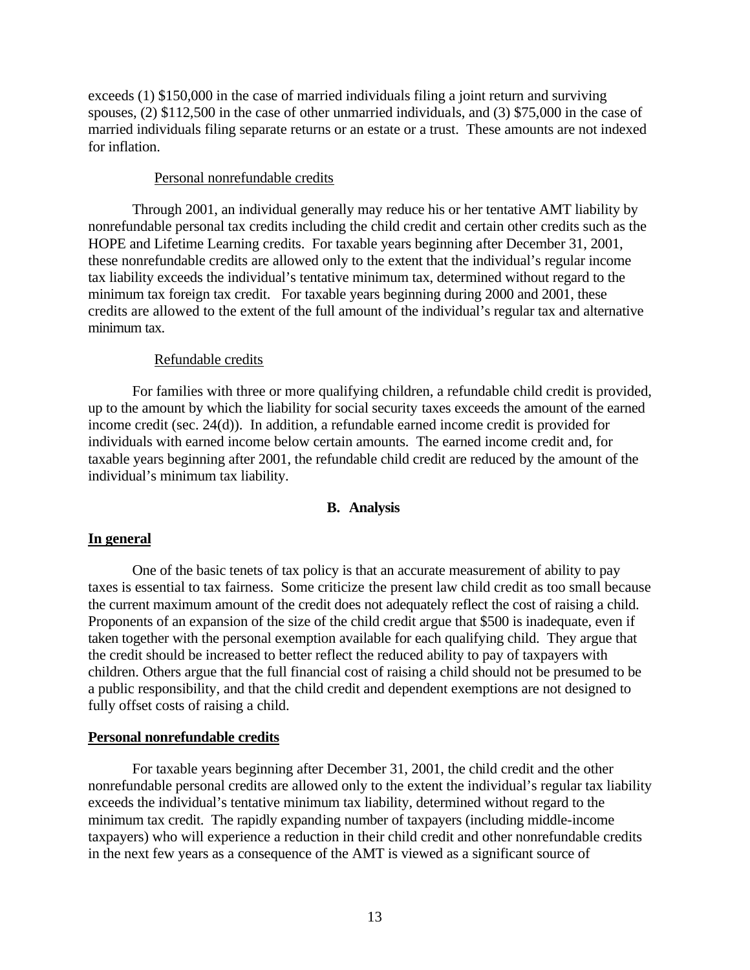exceeds (1) \$150,000 in the case of married individuals filing a joint return and surviving spouses, (2) \$112,500 in the case of other unmarried individuals, and (3) \$75,000 in the case of married individuals filing separate returns or an estate or a trust. These amounts are not indexed for inflation.

## Personal nonrefundable credits

Through 2001, an individual generally may reduce his or her tentative AMT liability by nonrefundable personal tax credits including the child credit and certain other credits such as the HOPE and Lifetime Learning credits. For taxable years beginning after December 31, 2001, these nonrefundable credits are allowed only to the extent that the individual's regular income tax liability exceeds the individual's tentative minimum tax, determined without regard to the minimum tax foreign tax credit. For taxable years beginning during 2000 and 2001, these credits are allowed to the extent of the full amount of the individual's regular tax and alternative minimum tax.

## Refundable credits

For families with three or more qualifying children, a refundable child credit is provided, up to the amount by which the liability for social security taxes exceeds the amount of the earned income credit (sec. 24(d)). In addition, a refundable earned income credit is provided for individuals with earned income below certain amounts. The earned income credit and, for taxable years beginning after 2001, the refundable child credit are reduced by the amount of the individual's minimum tax liability.

### **B. Analysis**

## **In general**

One of the basic tenets of tax policy is that an accurate measurement of ability to pay taxes is essential to tax fairness. Some criticize the present law child credit as too small because the current maximum amount of the credit does not adequately reflect the cost of raising a child. Proponents of an expansion of the size of the child credit argue that \$500 is inadequate, even if taken together with the personal exemption available for each qualifying child. They argue that the credit should be increased to better reflect the reduced ability to pay of taxpayers with children. Others argue that the full financial cost of raising a child should not be presumed to be a public responsibility, and that the child credit and dependent exemptions are not designed to fully offset costs of raising a child.

## **Personal nonrefundable credits**

For taxable years beginning after December 31, 2001, the child credit and the other nonrefundable personal credits are allowed only to the extent the individual's regular tax liability exceeds the individual's tentative minimum tax liability, determined without regard to the minimum tax credit. The rapidly expanding number of taxpayers (including middle-income taxpayers) who will experience a reduction in their child credit and other nonrefundable credits in the next few years as a consequence of the AMT is viewed as a significant source of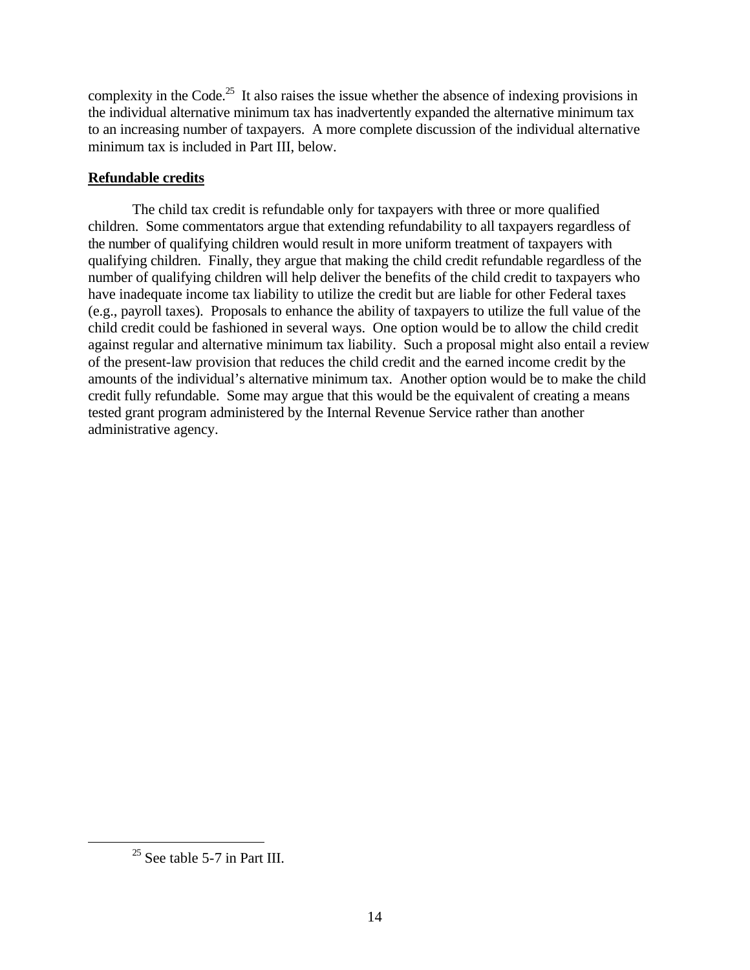complexity in the Code.<sup>25</sup> It also raises the issue whether the absence of indexing provisions in the individual alternative minimum tax has inadvertently expanded the alternative minimum tax to an increasing number of taxpayers. A more complete discussion of the individual alternative minimum tax is included in Part III, below.

## **Refundable credits**

The child tax credit is refundable only for taxpayers with three or more qualified children. Some commentators argue that extending refundability to all taxpayers regardless of the number of qualifying children would result in more uniform treatment of taxpayers with qualifying children. Finally, they argue that making the child credit refundable regardless of the number of qualifying children will help deliver the benefits of the child credit to taxpayers who have inadequate income tax liability to utilize the credit but are liable for other Federal taxes (e.g., payroll taxes). Proposals to enhance the ability of taxpayers to utilize the full value of the child credit could be fashioned in several ways. One option would be to allow the child credit against regular and alternative minimum tax liability. Such a proposal might also entail a review of the present-law provision that reduces the child credit and the earned income credit by the amounts of the individual's alternative minimum tax. Another option would be to make the child credit fully refundable. Some may argue that this would be the equivalent of creating a means tested grant program administered by the Internal Revenue Service rather than another administrative agency.

 $\overline{a}$ 

 $25$  See table 5-7 in Part III.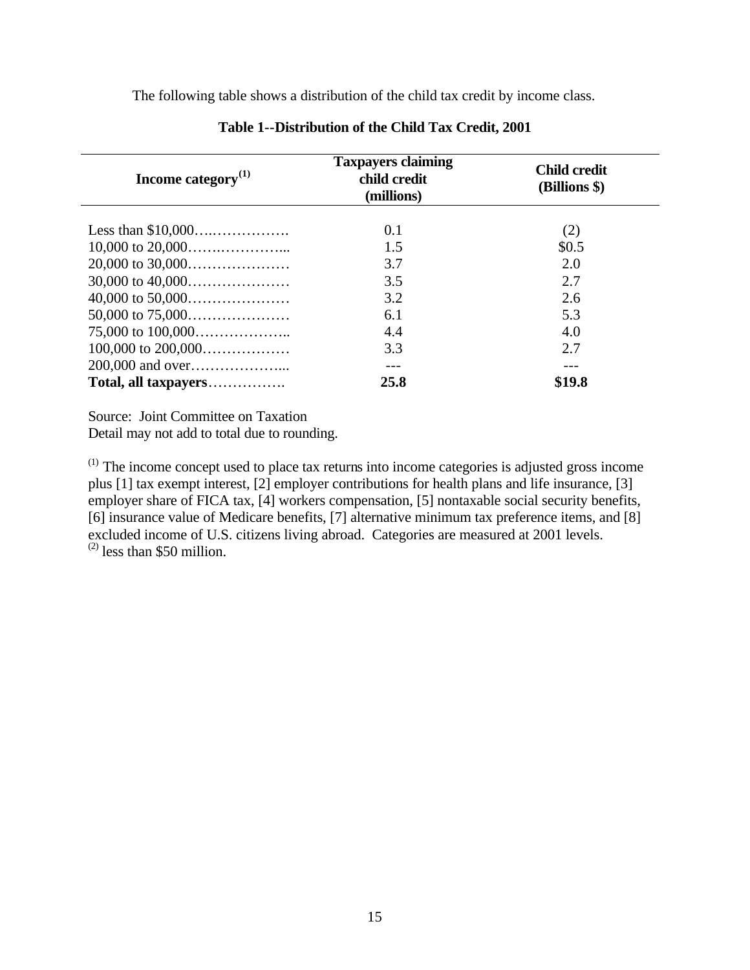The following table shows a distribution of the child tax credit by income class.

| Income category <sup>(1)</sup> | <b>Taxpayers claiming</b><br>child credit<br>(millions) | <b>Child credit</b><br>(Billions \$) |
|--------------------------------|---------------------------------------------------------|--------------------------------------|
|                                | 0.1                                                     | (2)                                  |
|                                | 1.5                                                     | \$0.5                                |
|                                | 3.7                                                     | 2.0                                  |
|                                | 3.5                                                     | 2.7                                  |
|                                | 3.2                                                     | 2.6                                  |
|                                | 6.1                                                     | 5.3                                  |
|                                | 4.4                                                     | 4.0                                  |
|                                | 3.3                                                     | 2.7                                  |
|                                |                                                         |                                      |
| Total, all taxpayers           | 25.8                                                    | \$19.8                               |

**Table 1--Distribution of the Child Tax Credit, 2001** 

Source: Joint Committee on Taxation

Detail may not add to total due to rounding.

(1) The income concept used to place tax returns into income categories is adjusted gross income plus [1] tax exempt interest, [2] employer contributions for health plans and life insurance, [3] employer share of FICA tax, [4] workers compensation, [5] nontaxable social security benefits, [6] insurance value of Medicare benefits, [7] alternative minimum tax preference items, and [8] excluded income of U.S. citizens living abroad. Categories are measured at 2001 levels.  $^{(2)}$  less than \$50 million.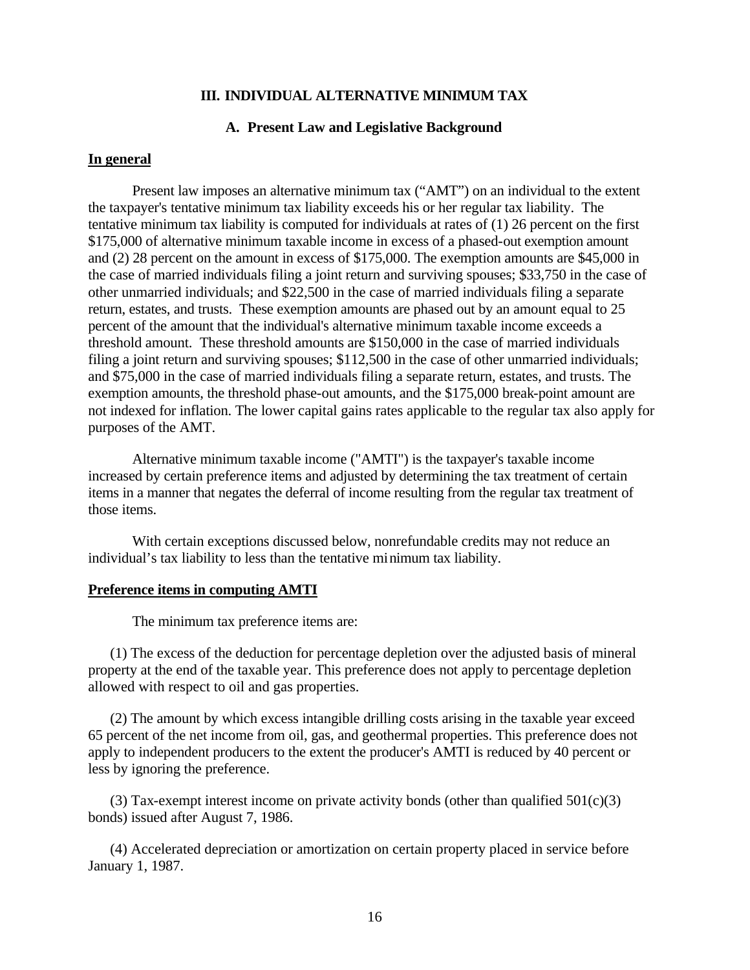## **III. INDIVIDUAL ALTERNATIVE MINIMUM TAX**

### **A. Present Law and Legislative Background**

### **In general**

Present law imposes an alternative minimum tax ("AMT") on an individual to the extent the taxpayer's tentative minimum tax liability exceeds his or her regular tax liability. The tentative minimum tax liability is computed for individuals at rates of (1) 26 percent on the first \$175,000 of alternative minimum taxable income in excess of a phased-out exemption amount and (2) 28 percent on the amount in excess of \$175,000. The exemption amounts are \$45,000 in the case of married individuals filing a joint return and surviving spouses; \$33,750 in the case of other unmarried individuals; and \$22,500 in the case of married individuals filing a separate return, estates, and trusts. These exemption amounts are phased out by an amount equal to 25 percent of the amount that the individual's alternative minimum taxable income exceeds a threshold amount. These threshold amounts are \$150,000 in the case of married individuals filing a joint return and surviving spouses; \$112,500 in the case of other unmarried individuals; and \$75,000 in the case of married individuals filing a separate return, estates, and trusts. The exemption amounts, the threshold phase-out amounts, and the \$175,000 break-point amount are not indexed for inflation. The lower capital gains rates applicable to the regular tax also apply for purposes of the AMT.

Alternative minimum taxable income ("AMTI") is the taxpayer's taxable income increased by certain preference items and adjusted by determining the tax treatment of certain items in a manner that negates the deferral of income resulting from the regular tax treatment of those items.

With certain exceptions discussed below, nonrefundable credits may not reduce an individual's tax liability to less than the tentative minimum tax liability.

### **Preference items in computing AMTI**

The minimum tax preference items are:

(1) The excess of the deduction for percentage depletion over the adjusted basis of mineral property at the end of the taxable year. This preference does not apply to percentage depletion allowed with respect to oil and gas properties.

(2) The amount by which excess intangible drilling costs arising in the taxable year exceed 65 percent of the net income from oil, gas, and geothermal properties. This preference does not apply to independent producers to the extent the producer's AMTI is reduced by 40 percent or less by ignoring the preference.

(3) Tax-exempt interest income on private activity bonds (other than qualified  $501(c)(3)$ bonds) issued after August 7, 1986.

(4) Accelerated depreciation or amortization on certain property placed in service before January 1, 1987.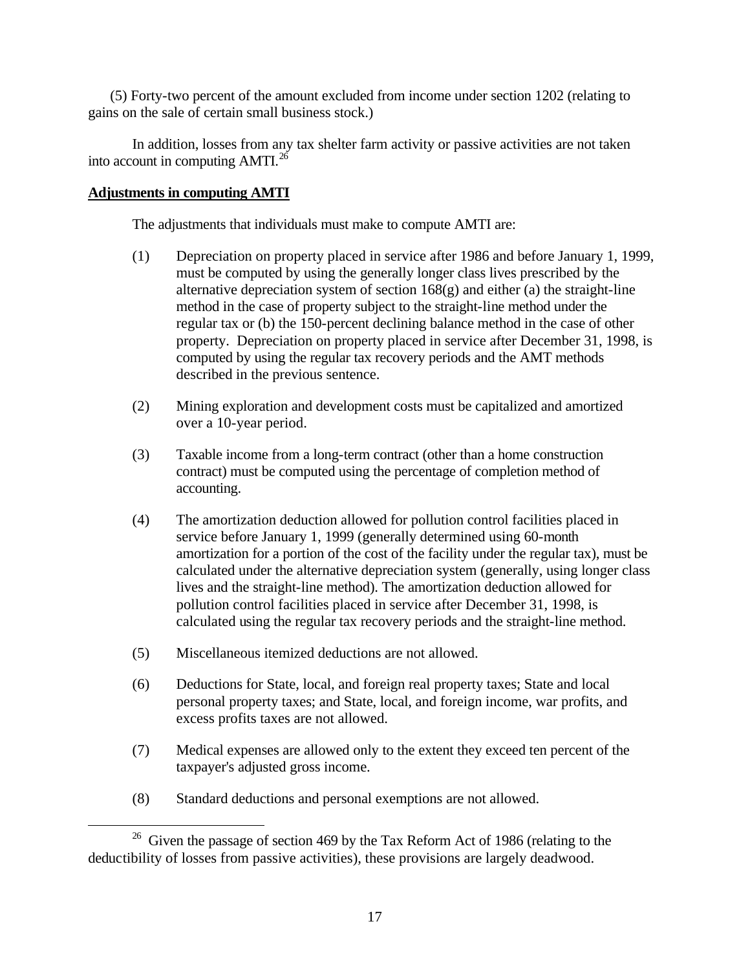(5) Forty-two percent of the amount excluded from income under section 1202 (relating to gains on the sale of certain small business stock.)

In addition, losses from any tax shelter farm activity or passive activities are not taken into account in computing AMTI.<sup>26</sup>

## **Adjustments in computing AMTI**

The adjustments that individuals must make to compute AMTI are:

- (1) Depreciation on property placed in service after 1986 and before January 1, 1999, must be computed by using the generally longer class lives prescribed by the alternative depreciation system of section  $168(g)$  and either (a) the straight-line method in the case of property subject to the straight-line method under the regular tax or (b) the 150-percent declining balance method in the case of other property. Depreciation on property placed in service after December 31, 1998, is computed by using the regular tax recovery periods and the AMT methods described in the previous sentence.
- (2) Mining exploration and development costs must be capitalized and amortized over a 10-year period.
- (3) Taxable income from a long-term contract (other than a home construction contract) must be computed using the percentage of completion method of accounting.
- (4) The amortization deduction allowed for pollution control facilities placed in service before January 1, 1999 (generally determined using 60-month amortization for a portion of the cost of the facility under the regular tax), must be calculated under the alternative depreciation system (generally, using longer class lives and the straight-line method). The amortization deduction allowed for pollution control facilities placed in service after December 31, 1998, is calculated using the regular tax recovery periods and the straight-line method.
- (5) Miscellaneous itemized deductions are not allowed.
- (6) Deductions for State, local, and foreign real property taxes; State and local personal property taxes; and State, local, and foreign income, war profits, and excess profits taxes are not allowed.
- (7) Medical expenses are allowed only to the extent they exceed ten percent of the taxpayer's adjusted gross income.
- (8) Standard deductions and personal exemptions are not allowed.

 $\overline{a}$  $26$  Given the passage of section 469 by the Tax Reform Act of 1986 (relating to the deductibility of losses from passive activities), these provisions are largely deadwood.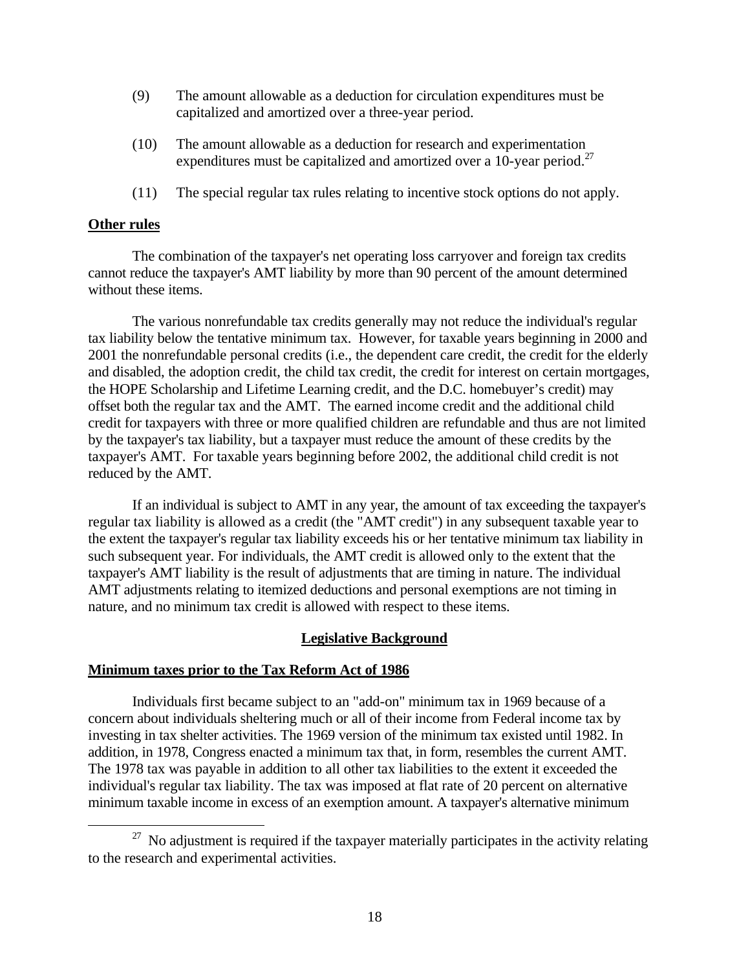- (9) The amount allowable as a deduction for circulation expenditures must be capitalized and amortized over a three-year period.
- (10) The amount allowable as a deduction for research and experimentation expenditures must be capitalized and amortized over a  $10$ -year period.<sup>27</sup>
- (11) The special regular tax rules relating to incentive stock options do not apply.

## **Other rules**

 $\overline{a}$ 

The combination of the taxpayer's net operating loss carryover and foreign tax credits cannot reduce the taxpayer's AMT liability by more than 90 percent of the amount determined without these items.

The various nonrefundable tax credits generally may not reduce the individual's regular tax liability below the tentative minimum tax. However, for taxable years beginning in 2000 and 2001 the nonrefundable personal credits (i.e., the dependent care credit, the credit for the elderly and disabled, the adoption credit, the child tax credit, the credit for interest on certain mortgages, the HOPE Scholarship and Lifetime Learning credit, and the D.C. homebuyer's credit) may offset both the regular tax and the AMT. The earned income credit and the additional child credit for taxpayers with three or more qualified children are refundable and thus are not limited by the taxpayer's tax liability, but a taxpayer must reduce the amount of these credits by the taxpayer's AMT. For taxable years beginning before 2002, the additional child credit is not reduced by the AMT.

If an individual is subject to AMT in any year, the amount of tax exceeding the taxpayer's regular tax liability is allowed as a credit (the "AMT credit") in any subsequent taxable year to the extent the taxpayer's regular tax liability exceeds his or her tentative minimum tax liability in such subsequent year. For individuals, the AMT credit is allowed only to the extent that the taxpayer's AMT liability is the result of adjustments that are timing in nature. The individual AMT adjustments relating to itemized deductions and personal exemptions are not timing in nature, and no minimum tax credit is allowed with respect to these items.

## **Legislative Background**

## **Minimum taxes prior to the Tax Reform Act of 1986**

Individuals first became subject to an "add-on" minimum tax in 1969 because of a concern about individuals sheltering much or all of their income from Federal income tax by investing in tax shelter activities. The 1969 version of the minimum tax existed until 1982. In addition, in 1978, Congress enacted a minimum tax that, in form, resembles the current AMT. The 1978 tax was payable in addition to all other tax liabilities to the extent it exceeded the individual's regular tax liability. The tax was imposed at flat rate of 20 percent on alternative minimum taxable income in excess of an exemption amount. A taxpayer's alternative minimum

 $27$  No adjustment is required if the taxpayer materially participates in the activity relating to the research and experimental activities.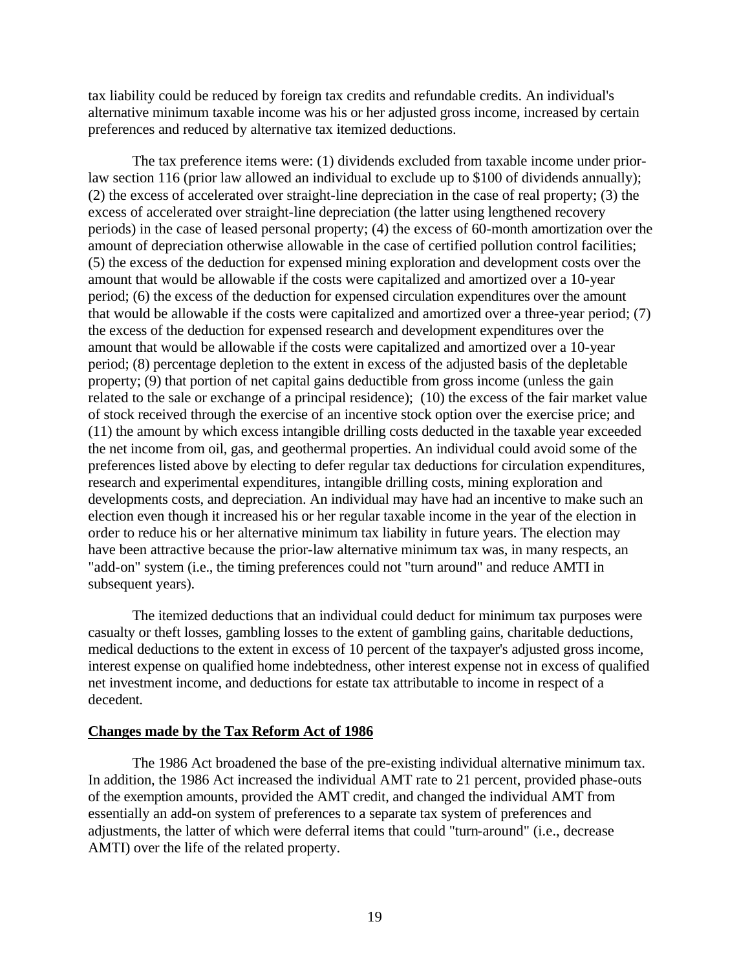tax liability could be reduced by foreign tax credits and refundable credits. An individual's alternative minimum taxable income was his or her adjusted gross income, increased by certain preferences and reduced by alternative tax itemized deductions.

The tax preference items were: (1) dividends excluded from taxable income under priorlaw section 116 (prior law allowed an individual to exclude up to \$100 of dividends annually); (2) the excess of accelerated over straight-line depreciation in the case of real property; (3) the excess of accelerated over straight-line depreciation (the latter using lengthened recovery periods) in the case of leased personal property; (4) the excess of 60-month amortization over the amount of depreciation otherwise allowable in the case of certified pollution control facilities; (5) the excess of the deduction for expensed mining exploration and development costs over the amount that would be allowable if the costs were capitalized and amortized over a 10-year period; (6) the excess of the deduction for expensed circulation expenditures over the amount that would be allowable if the costs were capitalized and amortized over a three-year period; (7) the excess of the deduction for expensed research and development expenditures over the amount that would be allowable if the costs were capitalized and amortized over a 10-year period; (8) percentage depletion to the extent in excess of the adjusted basis of the depletable property; (9) that portion of net capital gains deductible from gross income (unless the gain related to the sale or exchange of a principal residence); (10) the excess of the fair market value of stock received through the exercise of an incentive stock option over the exercise price; and (11) the amount by which excess intangible drilling costs deducted in the taxable year exceeded the net income from oil, gas, and geothermal properties. An individual could avoid some of the preferences listed above by electing to defer regular tax deductions for circulation expenditures, research and experimental expenditures, intangible drilling costs, mining exploration and developments costs, and depreciation. An individual may have had an incentive to make such an election even though it increased his or her regular taxable income in the year of the election in order to reduce his or her alternative minimum tax liability in future years. The election may have been attractive because the prior-law alternative minimum tax was, in many respects, an "add-on" system (i.e., the timing preferences could not "turn around" and reduce AMTI in subsequent years).

The itemized deductions that an individual could deduct for minimum tax purposes were casualty or theft losses, gambling losses to the extent of gambling gains, charitable deductions, medical deductions to the extent in excess of 10 percent of the taxpayer's adjusted gross income, interest expense on qualified home indebtedness, other interest expense not in excess of qualified net investment income, and deductions for estate tax attributable to income in respect of a decedent.

### **Changes made by the Tax Reform Act of 1986**

The 1986 Act broadened the base of the pre-existing individual alternative minimum tax. In addition, the 1986 Act increased the individual AMT rate to 21 percent, provided phase-outs of the exemption amounts, provided the AMT credit, and changed the individual AMT from essentially an add-on system of preferences to a separate tax system of preferences and adjustments, the latter of which were deferral items that could "turn-around" (i.e., decrease AMTI) over the life of the related property.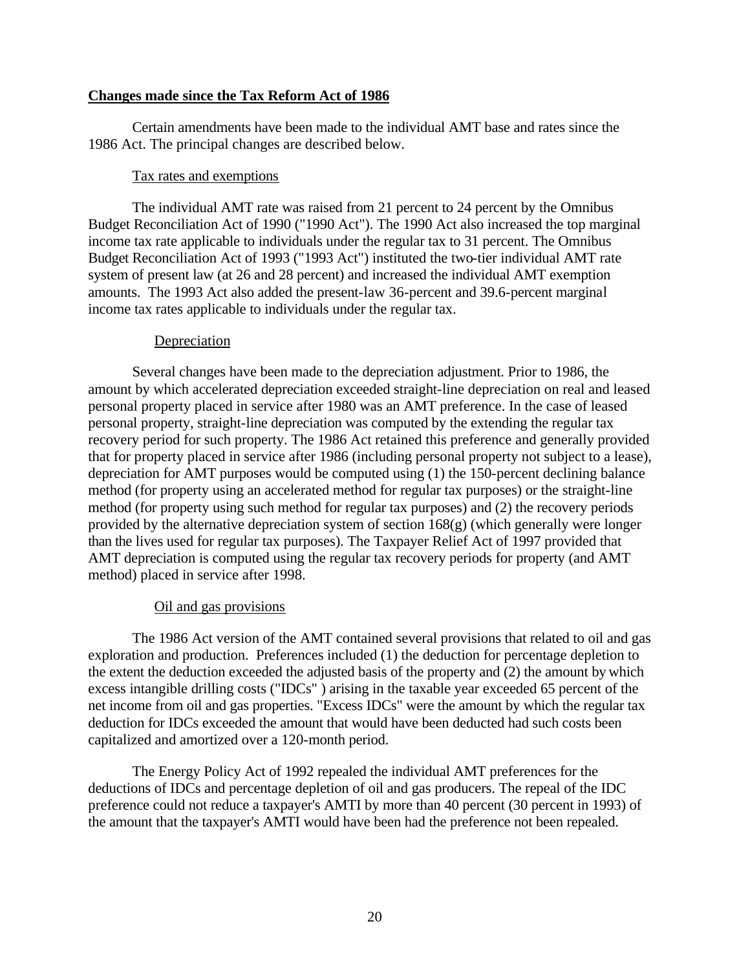### **Changes made since the Tax Reform Act of 1986**

Certain amendments have been made to the individual AMT base and rates since the 1986 Act. The principal changes are described below.

## Tax rates and exemptions

The individual AMT rate was raised from 21 percent to 24 percent by the Omnibus Budget Reconciliation Act of 1990 ("1990 Act"). The 1990 Act also increased the top marginal income tax rate applicable to individuals under the regular tax to 31 percent. The Omnibus Budget Reconciliation Act of 1993 ("1993 Act") instituted the two-tier individual AMT rate system of present law (at 26 and 28 percent) and increased the individual AMT exemption amounts. The 1993 Act also added the present-law 36-percent and 39.6-percent marginal income tax rates applicable to individuals under the regular tax.

## **Depreciation**

Several changes have been made to the depreciation adjustment. Prior to 1986, the amount by which accelerated depreciation exceeded straight-line depreciation on real and leased personal property placed in service after 1980 was an AMT preference. In the case of leased personal property, straight-line depreciation was computed by the extending the regular tax recovery period for such property. The 1986 Act retained this preference and generally provided that for property placed in service after 1986 (including personal property not subject to a lease), depreciation for AMT purposes would be computed using (1) the 150-percent declining balance method (for property using an accelerated method for regular tax purposes) or the straight-line method (for property using such method for regular tax purposes) and (2) the recovery periods provided by the alternative depreciation system of section 168(g) (which generally were longer than the lives used for regular tax purposes). The Taxpayer Relief Act of 1997 provided that AMT depreciation is computed using the regular tax recovery periods for property (and AMT method) placed in service after 1998.

## Oil and gas provisions

The 1986 Act version of the AMT contained several provisions that related to oil and gas exploration and production. Preferences included (1) the deduction for percentage depletion to the extent the deduction exceeded the adjusted basis of the property and (2) the amount by which excess intangible drilling costs ("IDCs" ) arising in the taxable year exceeded 65 percent of the net income from oil and gas properties. "Excess IDCs" were the amount by which the regular tax deduction for IDCs exceeded the amount that would have been deducted had such costs been capitalized and amortized over a 120-month period.

The Energy Policy Act of 1992 repealed the individual AMT preferences for the deductions of IDCs and percentage depletion of oil and gas producers. The repeal of the IDC preference could not reduce a taxpayer's AMTI by more than 40 percent (30 percent in 1993) of the amount that the taxpayer's AMTI would have been had the preference not been repealed.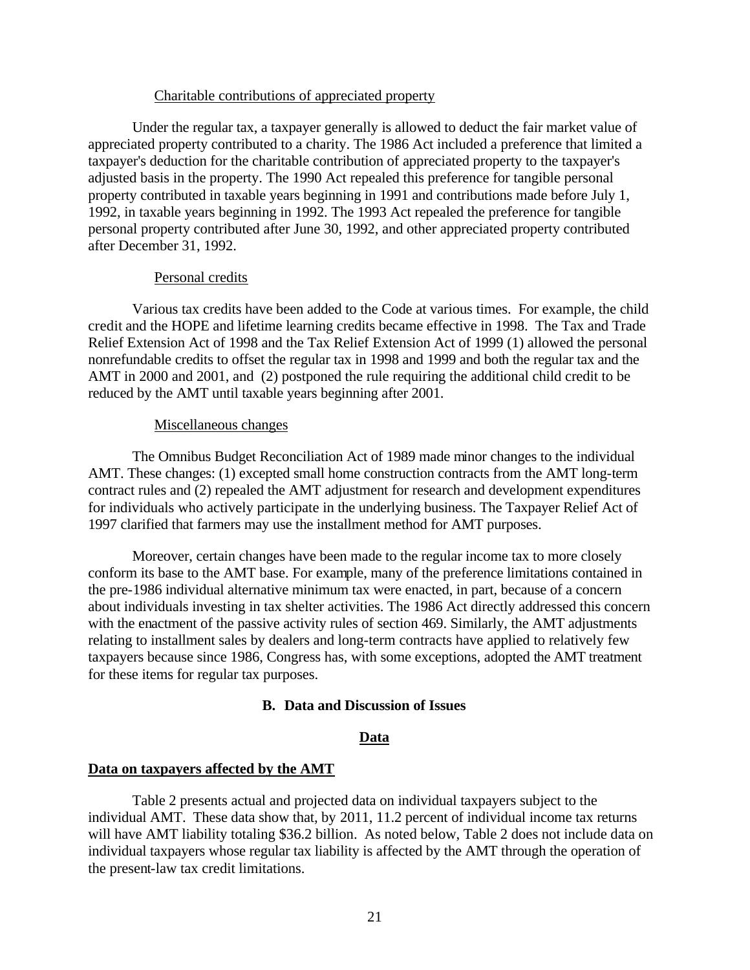### Charitable contributions of appreciated property

Under the regular tax, a taxpayer generally is allowed to deduct the fair market value of appreciated property contributed to a charity. The 1986 Act included a preference that limited a taxpayer's deduction for the charitable contribution of appreciated property to the taxpayer's adjusted basis in the property. The 1990 Act repealed this preference for tangible personal property contributed in taxable years beginning in 1991 and contributions made before July 1, 1992, in taxable years beginning in 1992. The 1993 Act repealed the preference for tangible personal property contributed after June 30, 1992, and other appreciated property contributed after December 31, 1992.

### Personal credits

Various tax credits have been added to the Code at various times. For example, the child credit and the HOPE and lifetime learning credits became effective in 1998. The Tax and Trade Relief Extension Act of 1998 and the Tax Relief Extension Act of 1999 (1) allowed the personal nonrefundable credits to offset the regular tax in 1998 and 1999 and both the regular tax and the AMT in 2000 and 2001, and (2) postponed the rule requiring the additional child credit to be reduced by the AMT until taxable years beginning after 2001.

#### Miscellaneous changes

The Omnibus Budget Reconciliation Act of 1989 made minor changes to the individual AMT. These changes: (1) excepted small home construction contracts from the AMT long-term contract rules and (2) repealed the AMT adjustment for research and development expenditures for individuals who actively participate in the underlying business. The Taxpayer Relief Act of 1997 clarified that farmers may use the installment method for AMT purposes.

Moreover, certain changes have been made to the regular income tax to more closely conform its base to the AMT base. For example, many of the preference limitations contained in the pre-1986 individual alternative minimum tax were enacted, in part, because of a concern about individuals investing in tax shelter activities. The 1986 Act directly addressed this concern with the enactment of the passive activity rules of section 469. Similarly, the AMT adjustments relating to installment sales by dealers and long-term contracts have applied to relatively few taxpayers because since 1986, Congress has, with some exceptions, adopted the AMT treatment for these items for regular tax purposes.

### **B. Data and Discussion of Issues**

#### **Data**

### **Data on taxpayers affected by the AMT**

Table 2 presents actual and projected data on individual taxpayers subject to the individual AMT. These data show that, by 2011, 11.2 percent of individual income tax returns will have AMT liability totaling \$36.2 billion. As noted below, Table 2 does not include data on individual taxpayers whose regular tax liability is affected by the AMT through the operation of the present-law tax credit limitations.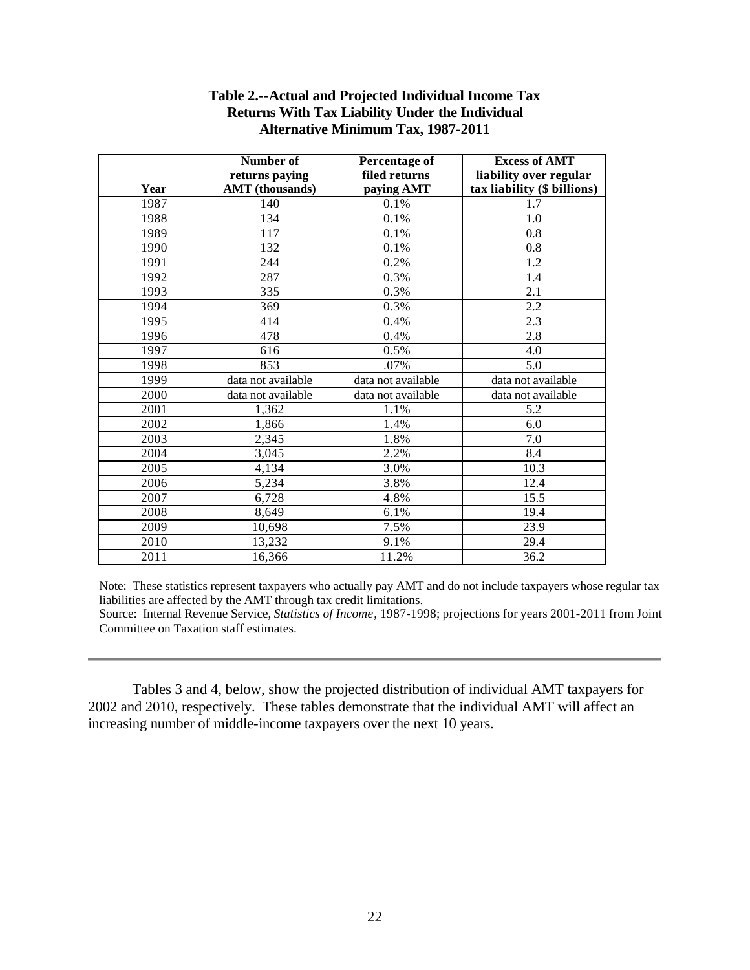|      | Number of              | <b>Percentage of</b> | <b>Excess of AMT</b>        |
|------|------------------------|----------------------|-----------------------------|
|      | returns paying         | filed returns        | liability over regular      |
| Year | <b>AMT</b> (thousands) | paying AMT           | tax liability (\$ billions) |
| 1987 | 140                    | 0.1%                 | 1.7                         |
| 1988 | 134                    | 0.1%                 | 1.0                         |
| 1989 | 117                    | 0.1%                 | 0.8                         |
| 1990 | 132                    | 0.1%                 | 0.8                         |
| 1991 | 244                    | 0.2%                 | 1.2                         |
| 1992 | 287                    | 0.3%                 | 1.4                         |
| 1993 | 335                    | 0.3%                 | 2.1                         |
| 1994 | 369                    | 0.3%                 | 2.2                         |
| 1995 | 414                    | 0.4%                 | 2.3                         |
| 1996 | 478                    | 0.4%                 | 2.8                         |
| 1997 | 616                    | 0.5%                 | 4.0                         |
| 1998 | 853                    | .07%                 | 5.0                         |
| 1999 | data not available     | data not available   | data not available          |
| 2000 | data not available     | data not available   | data not available          |
| 2001 | 1,362                  | 1.1%                 | 5.2                         |
| 2002 | 1,866                  | 1.4%                 | 6.0                         |
| 2003 | 2,345                  | 1.8%                 | 7.0                         |
| 2004 | 3,045                  | 2.2%                 | 8.4                         |
| 2005 | 4,134                  | 3.0%                 | 10.3                        |
| 2006 | 5,234                  | 3.8%                 | 12.4                        |
| 2007 | 6,728                  | 4.8%                 | 15.5                        |
| 2008 | 8,649                  | 6.1%                 | 19.4                        |
| 2009 | 10,698                 | 7.5%                 | 23.9                        |
| 2010 | 13,232                 | 9.1%                 | 29.4                        |
| 2011 | 16,366                 | 11.2%                | 36.2                        |

## **Table 2.--Actual and Projected Individual Income Tax Returns With Tax Liability Under the Individual Alternative Minimum Tax, 1987-2011**

Note: These statistics represent taxpayers who actually pay AMT and do not include taxpayers whose regular tax liabilities are affected by the AMT through tax credit limitations.

Source: Internal Revenue Service, *Statistics of Income*, 1987-1998; projections for years 2001-2011 from Joint Committee on Taxation staff estimates.

Tables 3 and 4, below, show the projected distribution of individual AMT taxpayers for 2002 and 2010, respectively. These tables demonstrate that the individual AMT will affect an increasing number of middle-income taxpayers over the next 10 years.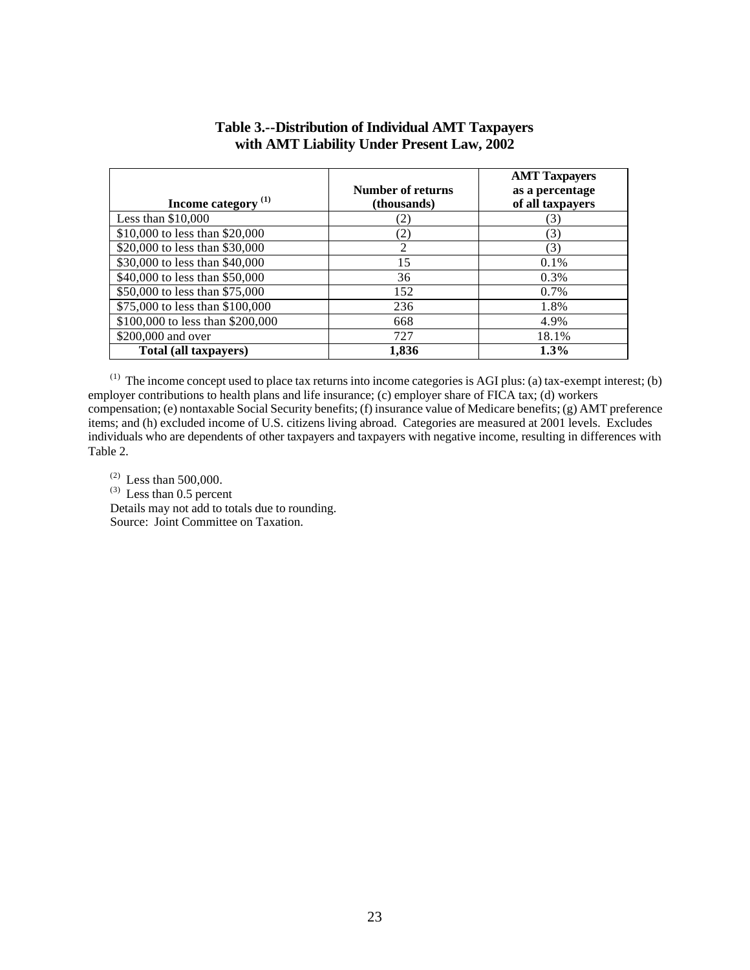|                                  | Number of returns | <b>AMT Taxpayers</b><br>as a percentage |
|----------------------------------|-------------------|-----------------------------------------|
| Income category <sup>(1)</sup>   | (thousands)       | of all taxpayers                        |
| Less than $$10,000$              | (2)               | (3)                                     |
| \$10,000 to less than \$20,000   | (2)               | (3)                                     |
| \$20,000 to less than \$30,000   | 2                 | (3)                                     |
| \$30,000 to less than \$40,000   | 15                | 0.1%                                    |
| \$40,000 to less than \$50,000   | 36                | 0.3%                                    |
| \$50,000 to less than \$75,000   | 152               | $0.7\%$                                 |
| \$75,000 to less than \$100,000  | 236               | 1.8%                                    |
| \$100,000 to less than \$200,000 | 668               | 4.9%                                    |
| \$200,000 and over               | 727               | 18.1%                                   |
| Total (all taxpayers)            | 1,836             | 1.3%                                    |

## **Table 3.--Distribution of Individual AMT Taxpayers with AMT Liability Under Present Law, 2002**

 $(1)$  The income concept used to place tax returns into income categories is AGI plus: (a) tax-exempt interest; (b) employer contributions to health plans and life insurance; (c) employer share of FICA tax; (d) workers compensation; (e) nontaxable Social Security benefits; (f) insurance value of Medicare benefits; (g) AMT preference items; and (h) excluded income of U.S. citizens living abroad. Categories are measured at 2001 levels. Excludes individuals who are dependents of other taxpayers and taxpayers with negative income, resulting in differences with Table 2.

(2) Less than 500,000.

 $(3)$  Less than 0.5 percent

Details may not add to totals due to rounding. Source: Joint Committee on Taxation.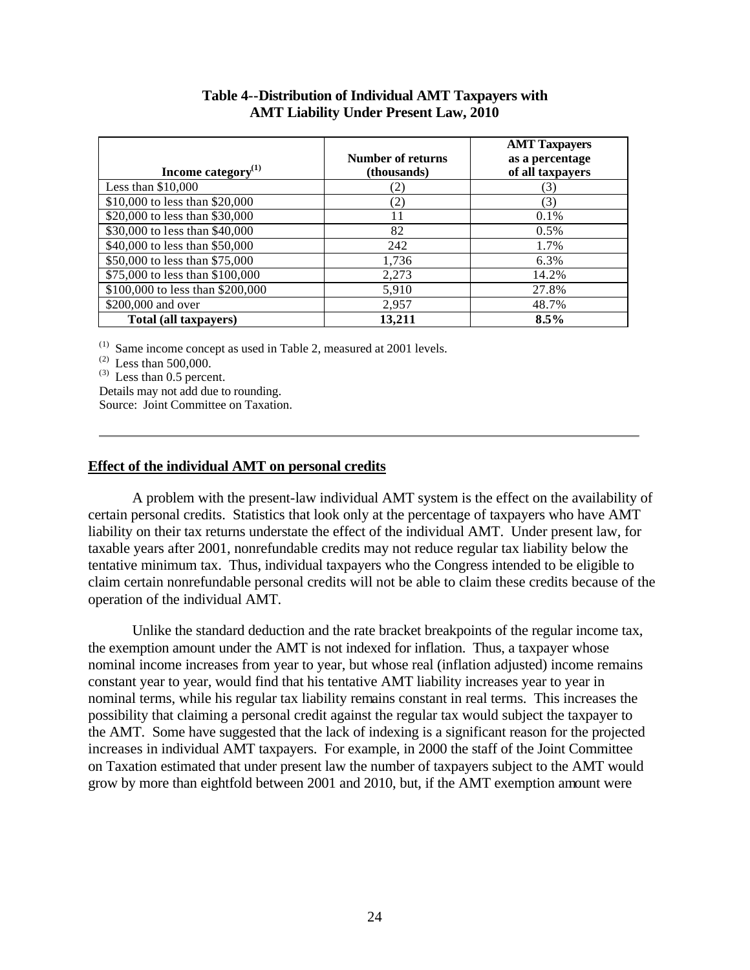### **Table 4--Distribution of Individual AMT Taxpayers with AMT Liability Under Present Law, 2010**

|                                  |                                  | <b>AMT Taxpayers</b>                |
|----------------------------------|----------------------------------|-------------------------------------|
| Income category $^{(1)}$         | Number of returns<br>(thousands) | as a percentage<br>of all taxpayers |
| Less than $$10,000$              | $\mathbf{2},$                    | 3)                                  |
| \$10,000 to less than \$20,000   | (2)                              | (3)                                 |
| \$20,000 to less than \$30,000   | 11                               | 0.1%                                |
| \$30,000 to less than \$40,000   | 82                               | 0.5%                                |
| \$40,000 to less than \$50,000   | 242                              | 1.7%                                |
| \$50,000 to less than \$75,000   | 1,736                            | 6.3%                                |
| \$75,000 to less than \$100,000  | 2,273                            | 14.2%                               |
| \$100,000 to less than \$200,000 | 5,910                            | 27.8%                               |
| \$200,000 and over               | 2,957                            | 48.7%                               |
| Total (all taxpayers)            | 13,211                           | $8.5\%$                             |

 $(1)$  Same income concept as used in Table 2, measured at 2001 levels.

 $(2)$  Less than 500,000.

 $(3)$  Less than 0.5 percent.

Details may not add due to rounding.

Source: Joint Committee on Taxation.

## **Effect of the individual AMT on personal credits**

A problem with the present-law individual AMT system is the effect on the availability of certain personal credits. Statistics that look only at the percentage of taxpayers who have AMT liability on their tax returns understate the effect of the individual AMT. Under present law, for taxable years after 2001, nonrefundable credits may not reduce regular tax liability below the tentative minimum tax. Thus, individual taxpayers who the Congress intended to be eligible to claim certain nonrefundable personal credits will not be able to claim these credits because of the operation of the individual AMT.

Unlike the standard deduction and the rate bracket breakpoints of the regular income tax, the exemption amount under the AMT is not indexed for inflation. Thus, a taxpayer whose nominal income increases from year to year, but whose real (inflation adjusted) income remains constant year to year, would find that his tentative AMT liability increases year to year in nominal terms, while his regular tax liability remains constant in real terms. This increases the possibility that claiming a personal credit against the regular tax would subject the taxpayer to the AMT. Some have suggested that the lack of indexing is a significant reason for the projected increases in individual AMT taxpayers. For example, in 2000 the staff of the Joint Committee on Taxation estimated that under present law the number of taxpayers subject to the AMT would grow by more than eightfold between 2001 and 2010, but, if the AMT exemption amount were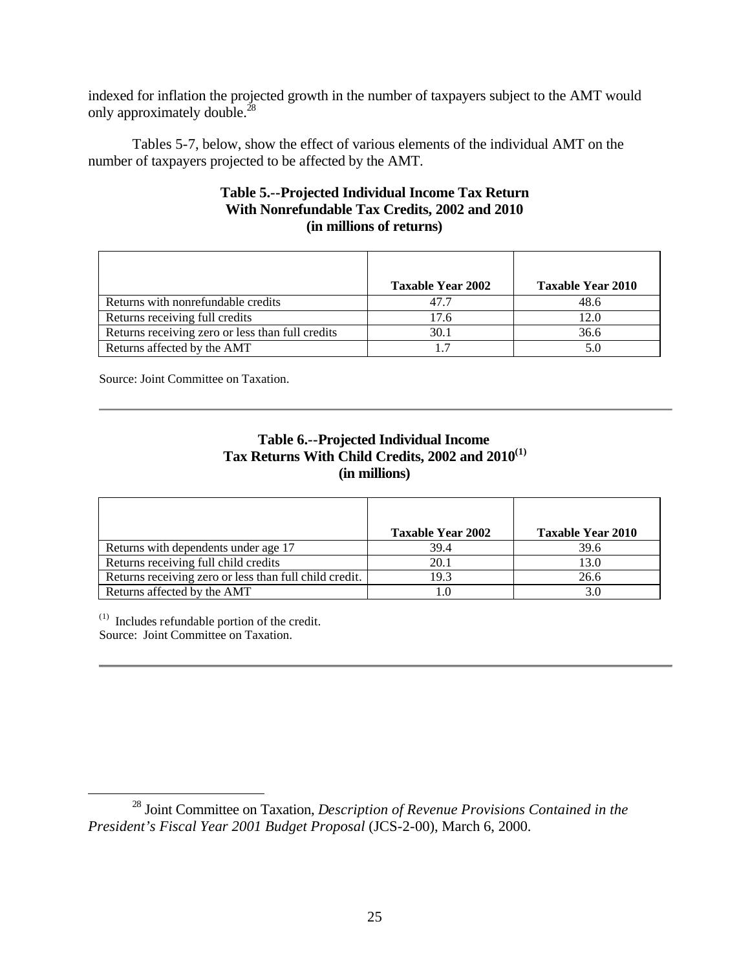indexed for inflation the projected growth in the number of taxpayers subject to the AMT would only approximately double.<sup>28</sup>

Tables 5-7, below, show the effect of various elements of the individual AMT on the number of taxpayers projected to be affected by the AMT.

## **Table 5.--Projected Individual Income Tax Return With Nonrefundable Tax Credits, 2002 and 2010 (in millions of returns)**

|                                                  | <b>Taxable Year 2002</b> | <b>Taxable Year 2010</b> |
|--------------------------------------------------|--------------------------|--------------------------|
| Returns with nonrefundable credits               | 47.7                     | 48.6                     |
| Returns receiving full credits                   | 17.6                     | 12.0                     |
| Returns receiving zero or less than full credits | 30.1                     | 36.6                     |
| Returns affected by the AMT                      | - 7                      |                          |

Source: Joint Committee on Taxation.

## **Table 6.--Projected Individual Income Tax Returns With Child Credits, 2002 and 2010(1) (in millions)**

|                                                        | <b>Taxable Year 2002</b> | <b>Taxable Year 2010</b> |
|--------------------------------------------------------|--------------------------|--------------------------|
| Returns with dependents under age 17                   | 39.4                     | 39.6                     |
| Returns receiving full child credits                   | 20.1                     | 13.0                     |
| Returns receiving zero or less than full child credit. | 19.3                     | 26.6                     |
| Returns affected by the AMT                            |                          |                          |

(1) Includes refundable portion of the credit. Source: Joint Committee on Taxation.

 $\overline{a}$ <sup>28</sup> Joint Committee on Taxation, *Description of Revenue Provisions Contained in the President's Fiscal Year 2001 Budget Proposal* (JCS-2-00), March 6, 2000.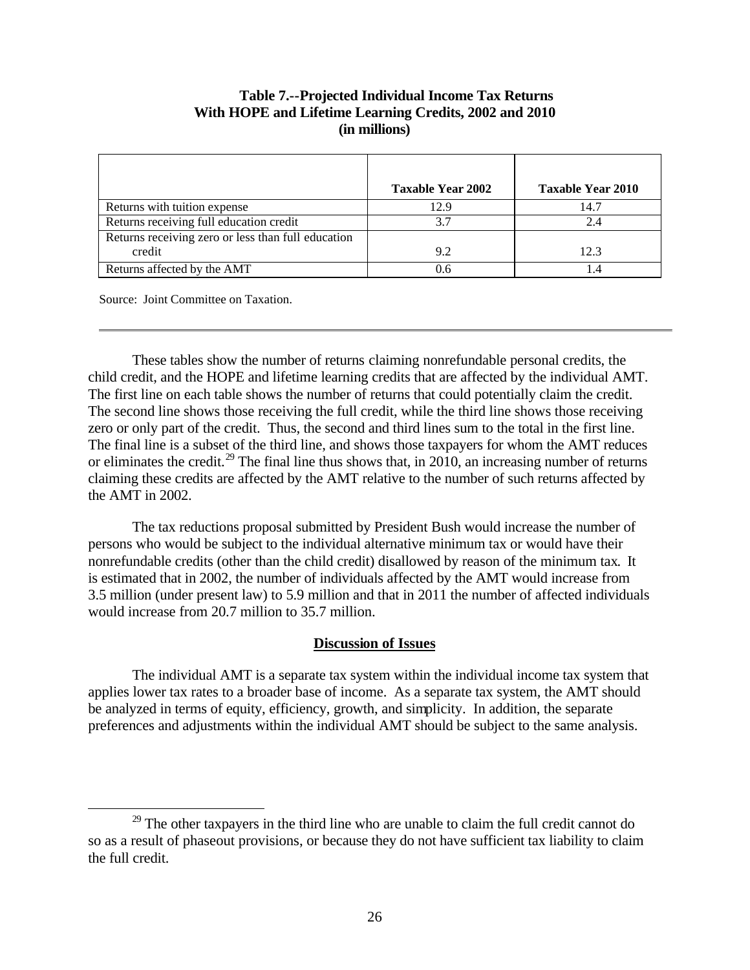## **Table 7.--Projected Individual Income Tax Returns With HOPE and Lifetime Learning Credits, 2002 and 2010 (in millions)**

|                                                    | <b>Taxable Year 2002</b> | <b>Taxable Year 2010</b> |
|----------------------------------------------------|--------------------------|--------------------------|
| Returns with tuition expense                       | 12.9                     | 14.7                     |
| Returns receiving full education credit            | 3.7                      | 2.4                      |
| Returns receiving zero or less than full education |                          |                          |
| credit                                             | 9.2                      | 12.3                     |
| Returns affected by the AMT                        | 0.6                      |                          |

Source: Joint Committee on Taxation.

 $\overline{a}$ 

These tables show the number of returns claiming nonrefundable personal credits, the child credit, and the HOPE and lifetime learning credits that are affected by the individual AMT. The first line on each table shows the number of returns that could potentially claim the credit. The second line shows those receiving the full credit, while the third line shows those receiving zero or only part of the credit. Thus, the second and third lines sum to the total in the first line. The final line is a subset of the third line, and shows those taxpayers for whom the AMT reduces or eliminates the credit.<sup>29</sup> The final line thus shows that, in 2010, an increasing number of returns claiming these credits are affected by the AMT relative to the number of such returns affected by the AMT in 2002.

The tax reductions proposal submitted by President Bush would increase the number of persons who would be subject to the individual alternative minimum tax or would have their nonrefundable credits (other than the child credit) disallowed by reason of the minimum tax. It is estimated that in 2002, the number of individuals affected by the AMT would increase from 3.5 million (under present law) to 5.9 million and that in 2011 the number of affected individuals would increase from 20.7 million to 35.7 million.

### **Discussion of Issues**

The individual AMT is a separate tax system within the individual income tax system that applies lower tax rates to a broader base of income. As a separate tax system, the AMT should be analyzed in terms of equity, efficiency, growth, and simplicity. In addition, the separate preferences and adjustments within the individual AMT should be subject to the same analysis.

 $29$  The other taxpayers in the third line who are unable to claim the full credit cannot do so as a result of phaseout provisions, or because they do not have sufficient tax liability to claim the full credit.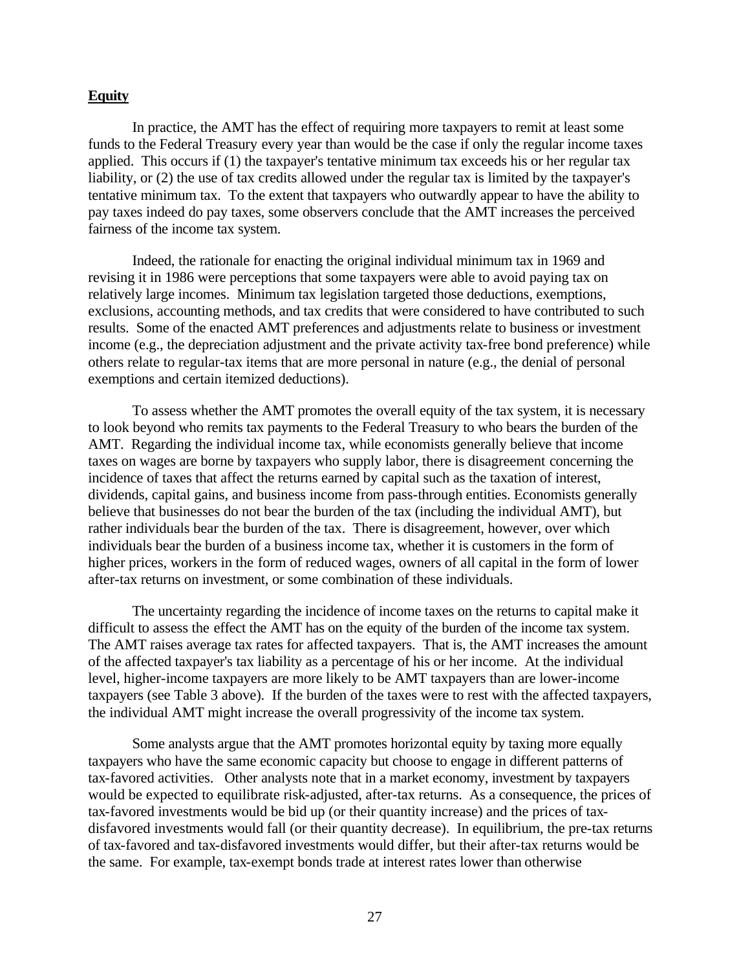### **Equity**

In practice, the AMT has the effect of requiring more taxpayers to remit at least some funds to the Federal Treasury every year than would be the case if only the regular income taxes applied. This occurs if (1) the taxpayer's tentative minimum tax exceeds his or her regular tax liability, or (2) the use of tax credits allowed under the regular tax is limited by the taxpayer's tentative minimum tax. To the extent that taxpayers who outwardly appear to have the ability to pay taxes indeed do pay taxes, some observers conclude that the AMT increases the perceived fairness of the income tax system.

Indeed, the rationale for enacting the original individual minimum tax in 1969 and revising it in 1986 were perceptions that some taxpayers were able to avoid paying tax on relatively large incomes. Minimum tax legislation targeted those deductions, exemptions, exclusions, accounting methods, and tax credits that were considered to have contributed to such results. Some of the enacted AMT preferences and adjustments relate to business or investment income (e.g., the depreciation adjustment and the private activity tax-free bond preference) while others relate to regular-tax items that are more personal in nature (e.g., the denial of personal exemptions and certain itemized deductions).

To assess whether the AMT promotes the overall equity of the tax system, it is necessary to look beyond who remits tax payments to the Federal Treasury to who bears the burden of the AMT. Regarding the individual income tax, while economists generally believe that income taxes on wages are borne by taxpayers who supply labor, there is disagreement concerning the incidence of taxes that affect the returns earned by capital such as the taxation of interest, dividends, capital gains, and business income from pass-through entities. Economists generally believe that businesses do not bear the burden of the tax (including the individual AMT), but rather individuals bear the burden of the tax. There is disagreement, however, over which individuals bear the burden of a business income tax, whether it is customers in the form of higher prices, workers in the form of reduced wages, owners of all capital in the form of lower after-tax returns on investment, or some combination of these individuals.

The uncertainty regarding the incidence of income taxes on the returns to capital make it difficult to assess the effect the AMT has on the equity of the burden of the income tax system. The AMT raises average tax rates for affected taxpayers. That is, the AMT increases the amount of the affected taxpayer's tax liability as a percentage of his or her income. At the individual level, higher-income taxpayers are more likely to be AMT taxpayers than are lower-income taxpayers (see Table 3 above). If the burden of the taxes were to rest with the affected taxpayers, the individual AMT might increase the overall progressivity of the income tax system.

Some analysts argue that the AMT promotes horizontal equity by taxing more equally taxpayers who have the same economic capacity but choose to engage in different patterns of tax-favored activities. Other analysts note that in a market economy, investment by taxpayers would be expected to equilibrate risk-adjusted, after-tax returns. As a consequence, the prices of tax-favored investments would be bid up (or their quantity increase) and the prices of taxdisfavored investments would fall (or their quantity decrease). In equilibrium, the pre-tax returns of tax-favored and tax-disfavored investments would differ, but their after-tax returns would be the same. For example, tax-exempt bonds trade at interest rates lower than otherwise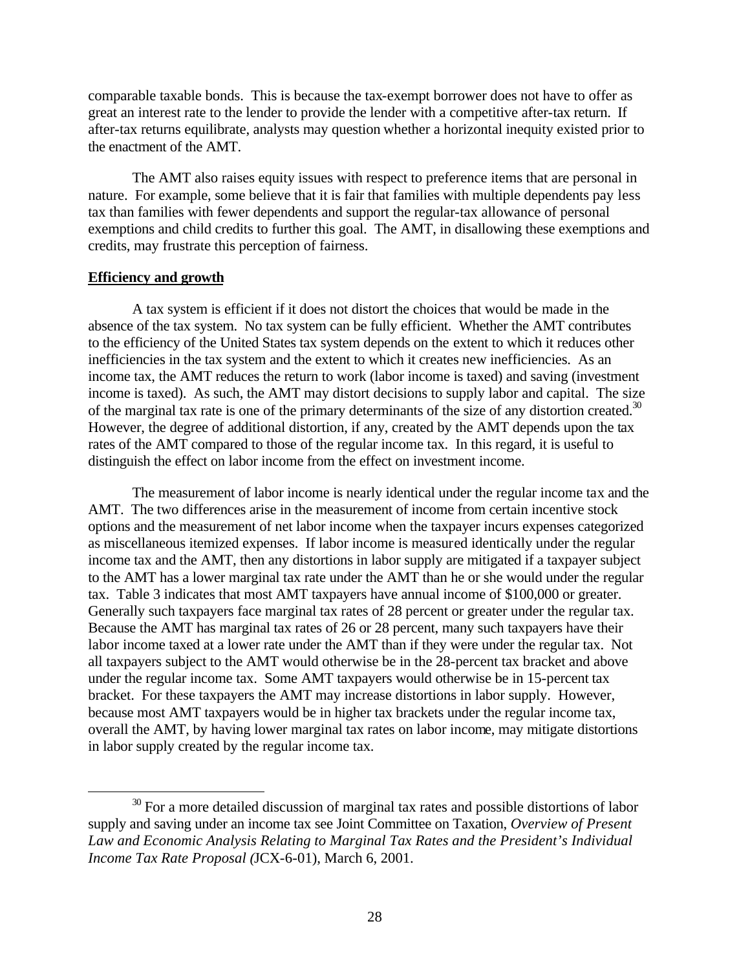comparable taxable bonds. This is because the tax-exempt borrower does not have to offer as great an interest rate to the lender to provide the lender with a competitive after-tax return. If after-tax returns equilibrate, analysts may question whether a horizontal inequity existed prior to the enactment of the AMT.

The AMT also raises equity issues with respect to preference items that are personal in nature. For example, some believe that it is fair that families with multiple dependents pay less tax than families with fewer dependents and support the regular-tax allowance of personal exemptions and child credits to further this goal. The AMT, in disallowing these exemptions and credits, may frustrate this perception of fairness.

### **Efficiency and growth**

 $\overline{a}$ 

A tax system is efficient if it does not distort the choices that would be made in the absence of the tax system. No tax system can be fully efficient. Whether the AMT contributes to the efficiency of the United States tax system depends on the extent to which it reduces other inefficiencies in the tax system and the extent to which it creates new inefficiencies. As an income tax, the AMT reduces the return to work (labor income is taxed) and saving (investment income is taxed). As such, the AMT may distort decisions to supply labor and capital. The size of the marginal tax rate is one of the primary determinants of the size of any distortion created.<sup>30</sup> However, the degree of additional distortion, if any, created by the AMT depends upon the tax rates of the AMT compared to those of the regular income tax. In this regard, it is useful to distinguish the effect on labor income from the effect on investment income.

The measurement of labor income is nearly identical under the regular income tax and the AMT. The two differences arise in the measurement of income from certain incentive stock options and the measurement of net labor income when the taxpayer incurs expenses categorized as miscellaneous itemized expenses. If labor income is measured identically under the regular income tax and the AMT, then any distortions in labor supply are mitigated if a taxpayer subject to the AMT has a lower marginal tax rate under the AMT than he or she would under the regular tax. Table 3 indicates that most AMT taxpayers have annual income of \$100,000 or greater. Generally such taxpayers face marginal tax rates of 28 percent or greater under the regular tax. Because the AMT has marginal tax rates of 26 or 28 percent, many such taxpayers have their labor income taxed at a lower rate under the AMT than if they were under the regular tax. Not all taxpayers subject to the AMT would otherwise be in the 28-percent tax bracket and above under the regular income tax. Some AMT taxpayers would otherwise be in 15-percent tax bracket. For these taxpayers the AMT may increase distortions in labor supply. However, because most AMT taxpayers would be in higher tax brackets under the regular income tax, overall the AMT, by having lower marginal tax rates on labor income, may mitigate distortions in labor supply created by the regular income tax.

 $30$  For a more detailed discussion of marginal tax rates and possible distortions of labor supply and saving under an income tax see Joint Committee on Taxation, *Overview of Present Law and Economic Analysis Relating to Marginal Tax Rates and the President's Individual Income Tax Rate Proposal (*JCX-6-01), March 6, 2001.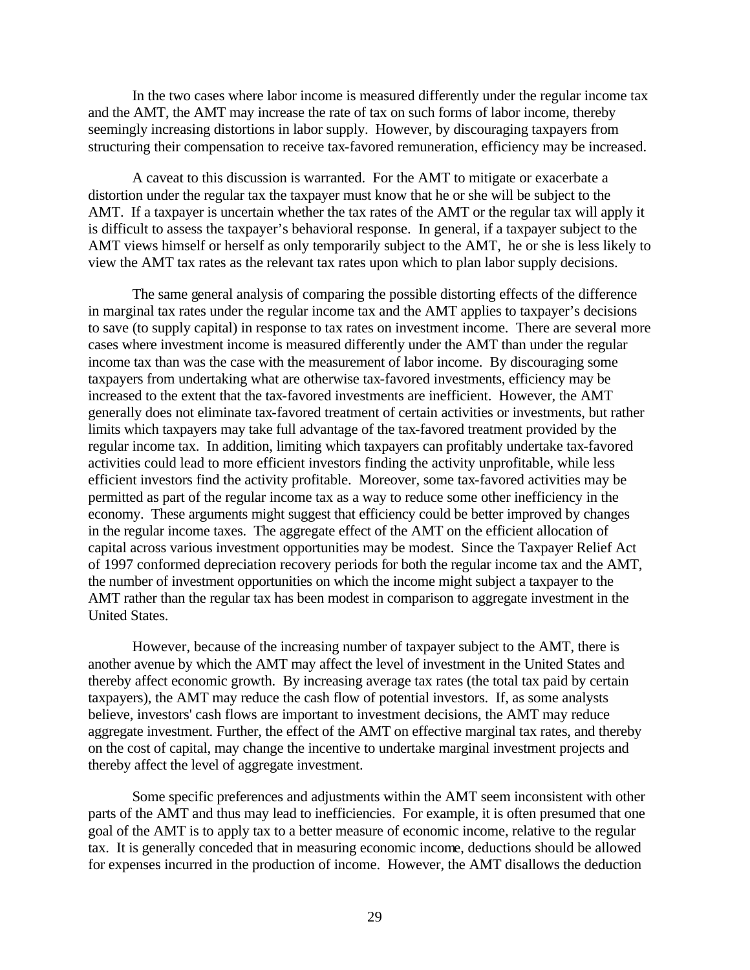In the two cases where labor income is measured differently under the regular income tax and the AMT, the AMT may increase the rate of tax on such forms of labor income, thereby seemingly increasing distortions in labor supply. However, by discouraging taxpayers from structuring their compensation to receive tax-favored remuneration, efficiency may be increased.

A caveat to this discussion is warranted. For the AMT to mitigate or exacerbate a distortion under the regular tax the taxpayer must know that he or she will be subject to the AMT. If a taxpayer is uncertain whether the tax rates of the AMT or the regular tax will apply it is difficult to assess the taxpayer's behavioral response. In general, if a taxpayer subject to the AMT views himself or herself as only temporarily subject to the AMT, he or she is less likely to view the AMT tax rates as the relevant tax rates upon which to plan labor supply decisions.

The same general analysis of comparing the possible distorting effects of the difference in marginal tax rates under the regular income tax and the AMT applies to taxpayer's decisions to save (to supply capital) in response to tax rates on investment income. There are several more cases where investment income is measured differently under the AMT than under the regular income tax than was the case with the measurement of labor income. By discouraging some taxpayers from undertaking what are otherwise tax-favored investments, efficiency may be increased to the extent that the tax-favored investments are inefficient. However, the AMT generally does not eliminate tax-favored treatment of certain activities or investments, but rather limits which taxpayers may take full advantage of the tax-favored treatment provided by the regular income tax. In addition, limiting which taxpayers can profitably undertake tax-favored activities could lead to more efficient investors finding the activity unprofitable, while less efficient investors find the activity profitable. Moreover, some tax-favored activities may be permitted as part of the regular income tax as a way to reduce some other inefficiency in the economy. These arguments might suggest that efficiency could be better improved by changes in the regular income taxes. The aggregate effect of the AMT on the efficient allocation of capital across various investment opportunities may be modest. Since the Taxpayer Relief Act of 1997 conformed depreciation recovery periods for both the regular income tax and the AMT, the number of investment opportunities on which the income might subject a taxpayer to the AMT rather than the regular tax has been modest in comparison to aggregate investment in the United States.

However, because of the increasing number of taxpayer subject to the AMT, there is another avenue by which the AMT may affect the level of investment in the United States and thereby affect economic growth. By increasing average tax rates (the total tax paid by certain taxpayers), the AMT may reduce the cash flow of potential investors. If, as some analysts believe, investors' cash flows are important to investment decisions, the AMT may reduce aggregate investment. Further, the effect of the AMT on effective marginal tax rates, and thereby on the cost of capital, may change the incentive to undertake marginal investment projects and thereby affect the level of aggregate investment.

Some specific preferences and adjustments within the AMT seem inconsistent with other parts of the AMT and thus may lead to inefficiencies. For example, it is often presumed that one goal of the AMT is to apply tax to a better measure of economic income, relative to the regular tax. It is generally conceded that in measuring economic income, deductions should be allowed for expenses incurred in the production of income. However, the AMT disallows the deduction